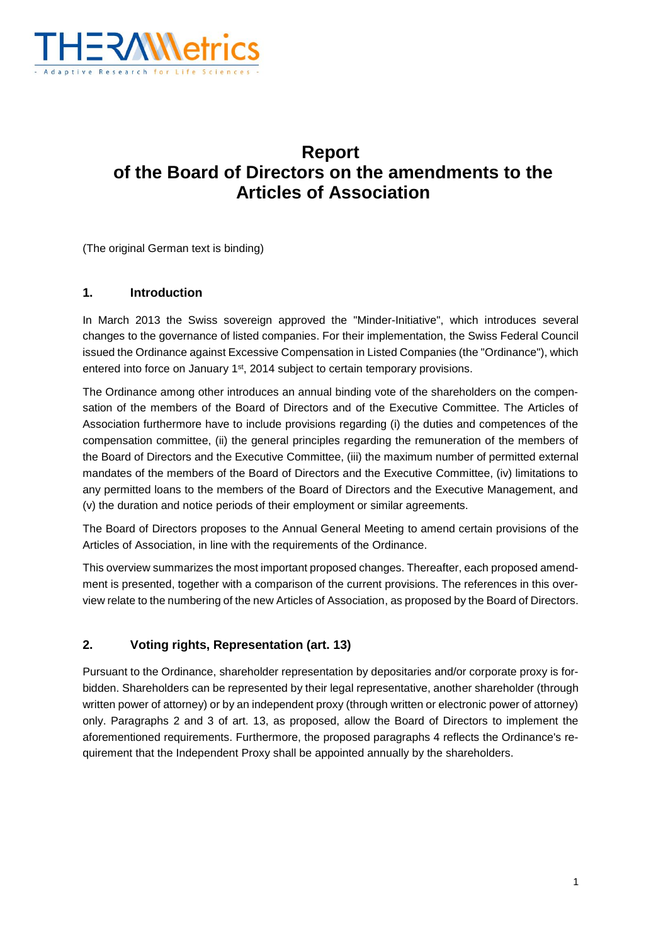

## **Report of the Board of Directors on the amendments to the Articles of Association**

(The original German text is binding)

#### **1. Introduction**

In March 2013 the Swiss sovereign approved the "Minder-Initiative", which introduces several changes to the governance of listed companies. For their implementation, the Swiss Federal Council issued the Ordinance against Excessive Compensation in Listed Companies (the "Ordinance"), which entered into force on January 1<sup>st</sup>, 2014 subject to certain temporary provisions.

The Ordinance among other introduces an annual binding vote of the shareholders on the compensation of the members of the Board of Directors and of the Executive Committee. The Articles of Association furthermore have to include provisions regarding (i) the duties and competences of the compensation committee, (ii) the general principles regarding the remuneration of the members of the Board of Directors and the Executive Committee, (iii) the maximum number of permitted external mandates of the members of the Board of Directors and the Executive Committee, (iv) limitations to any permitted loans to the members of the Board of Directors and the Executive Management, and (v) the duration and notice periods of their employment or similar agreements.

The Board of Directors proposes to the Annual General Meeting to amend certain provisions of the Articles of Association, in line with the requirements of the Ordinance.

This overview summarizes the most important proposed changes. Thereafter, each proposed amendment is presented, together with a comparison of the current provisions. The references in this overview relate to the numbering of the new Articles of Association, as proposed by the Board of Directors.

#### **2. Voting rights, Representation (art. 13)**

Pursuant to the Ordinance, shareholder representation by depositaries and/or corporate proxy is forbidden. Shareholders can be represented by their legal representative, another shareholder (through written power of attorney) or by an independent proxy (through written or electronic power of attorney) only. Paragraphs 2 and 3 of art. 13, as proposed, allow the Board of Directors to implement the aforementioned requirements. Furthermore, the proposed paragraphs 4 reflects the Ordinance's requirement that the Independent Proxy shall be appointed annually by the shareholders.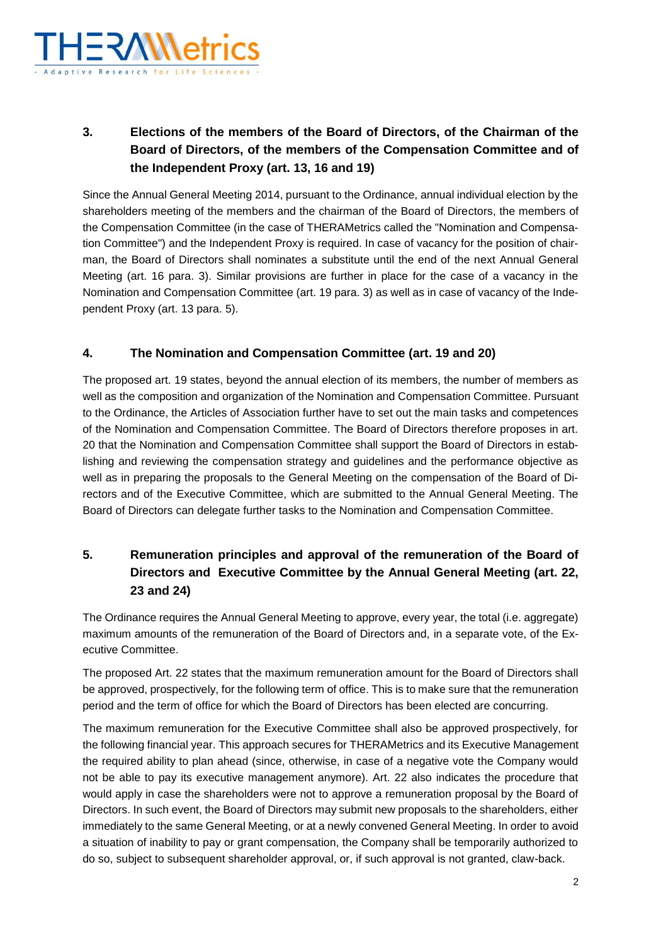

## **3. Elections of the members of the Board of Directors, of the Chairman of the Board of Directors, of the members of the Compensation Committee and of the Independent Proxy (art. 13, 16 and 19)**

Since the Annual General Meeting 2014, pursuant to the Ordinance, annual individual election by the shareholders meeting of the members and the chairman of the Board of Directors, the members of the Compensation Committee (in the case of THERAMetrics called the "Nomination and Compensation Committee") and the Independent Proxy is required. In case of vacancy for the position of chairman, the Board of Directors shall nominates a substitute until the end of the next Annual General Meeting (art. 16 para. 3). Similar provisions are further in place for the case of a vacancy in the Nomination and Compensation Committee (art. 19 para. 3) as well as in case of vacancy of the Independent Proxy (art. 13 para. 5).

### **4. The Nomination and Compensation Committee (art. 19 and 20)**

The proposed art. 19 states, beyond the annual election of its members, the number of members as well as the composition and organization of the Nomination and Compensation Committee. Pursuant to the Ordinance, the Articles of Association further have to set out the main tasks and competences of the Nomination and Compensation Committee. The Board of Directors therefore proposes in art. 20 that the Nomination and Compensation Committee shall support the Board of Directors in establishing and reviewing the compensation strategy and guidelines and the performance objective as well as in preparing the proposals to the General Meeting on the compensation of the Board of Directors and of the Executive Committee, which are submitted to the Annual General Meeting. The Board of Directors can delegate further tasks to the Nomination and Compensation Committee.

## **5. Remuneration principles and approval of the remuneration of the Board of Directors and Executive Committee by the Annual General Meeting (art. 22, 23 and 24)**

The Ordinance requires the Annual General Meeting to approve, every year, the total (i.e. aggregate) maximum amounts of the remuneration of the Board of Directors and, in a separate vote, of the Executive Committee.

The proposed Art. 22 states that the maximum remuneration amount for the Board of Directors shall be approved, prospectively, for the following term of office. This is to make sure that the remuneration period and the term of office for which the Board of Directors has been elected are concurring.

The maximum remuneration for the Executive Committee shall also be approved prospectively, for the following financial year. This approach secures for THERAMetrics and its Executive Management the required ability to plan ahead (since, otherwise, in case of a negative vote the Company would not be able to pay its executive management anymore). Art. 22 also indicates the procedure that would apply in case the shareholders were not to approve a remuneration proposal by the Board of Directors. In such event, the Board of Directors may submit new proposals to the shareholders, either immediately to the same General Meeting, or at a newly convened General Meeting. In order to avoid a situation of inability to pay or grant compensation, the Company shall be temporarily authorized to do so, subject to subsequent shareholder approval, or, if such approval is not granted, claw-back.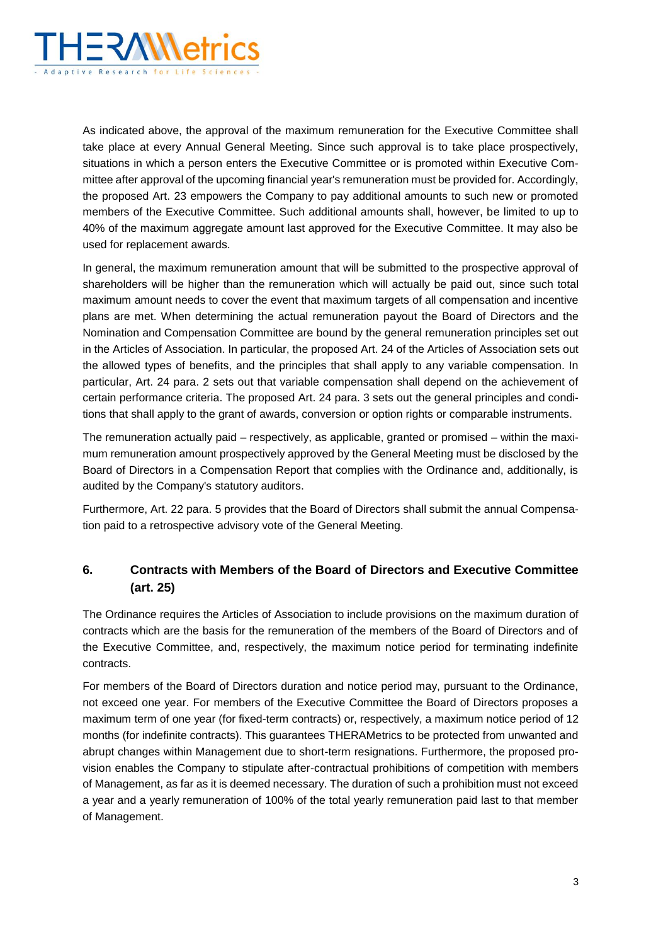

As indicated above, the approval of the maximum remuneration for the Executive Committee shall take place at every Annual General Meeting. Since such approval is to take place prospectively, situations in which a person enters the Executive Committee or is promoted within Executive Committee after approval of the upcoming financial year's remuneration must be provided for. Accordingly, the proposed Art. 23 empowers the Company to pay additional amounts to such new or promoted members of the Executive Committee. Such additional amounts shall, however, be limited to up to 40% of the maximum aggregate amount last approved for the Executive Committee. It may also be used for replacement awards.

In general, the maximum remuneration amount that will be submitted to the prospective approval of shareholders will be higher than the remuneration which will actually be paid out, since such total maximum amount needs to cover the event that maximum targets of all compensation and incentive plans are met. When determining the actual remuneration payout the Board of Directors and the Nomination and Compensation Committee are bound by the general remuneration principles set out in the Articles of Association. In particular, the proposed Art. 24 of the Articles of Association sets out the allowed types of benefits, and the principles that shall apply to any variable compensation. In particular, Art. 24 para. 2 sets out that variable compensation shall depend on the achievement of certain performance criteria. The proposed Art. 24 para. 3 sets out the general principles and conditions that shall apply to the grant of awards, conversion or option rights or comparable instruments.

The remuneration actually paid – respectively, as applicable, granted or promised – within the maximum remuneration amount prospectively approved by the General Meeting must be disclosed by the Board of Directors in a Compensation Report that complies with the Ordinance and, additionally, is audited by the Company's statutory auditors.

Furthermore, Art. 22 para. 5 provides that the Board of Directors shall submit the annual Compensation paid to a retrospective advisory vote of the General Meeting.

## **6. Contracts with Members of the Board of Directors and Executive Committee (art. 25)**

The Ordinance requires the Articles of Association to include provisions on the maximum duration of contracts which are the basis for the remuneration of the members of the Board of Directors and of the Executive Committee, and, respectively, the maximum notice period for terminating indefinite contracts.

For members of the Board of Directors duration and notice period may, pursuant to the Ordinance, not exceed one year. For members of the Executive Committee the Board of Directors proposes a maximum term of one year (for fixed-term contracts) or, respectively, a maximum notice period of 12 months (for indefinite contracts). This guarantees THERAMetrics to be protected from unwanted and abrupt changes within Management due to short-term resignations. Furthermore, the proposed provision enables the Company to stipulate after-contractual prohibitions of competition with members of Management, as far as it is deemed necessary. The duration of such a prohibition must not exceed a year and a yearly remuneration of 100% of the total yearly remuneration paid last to that member of Management.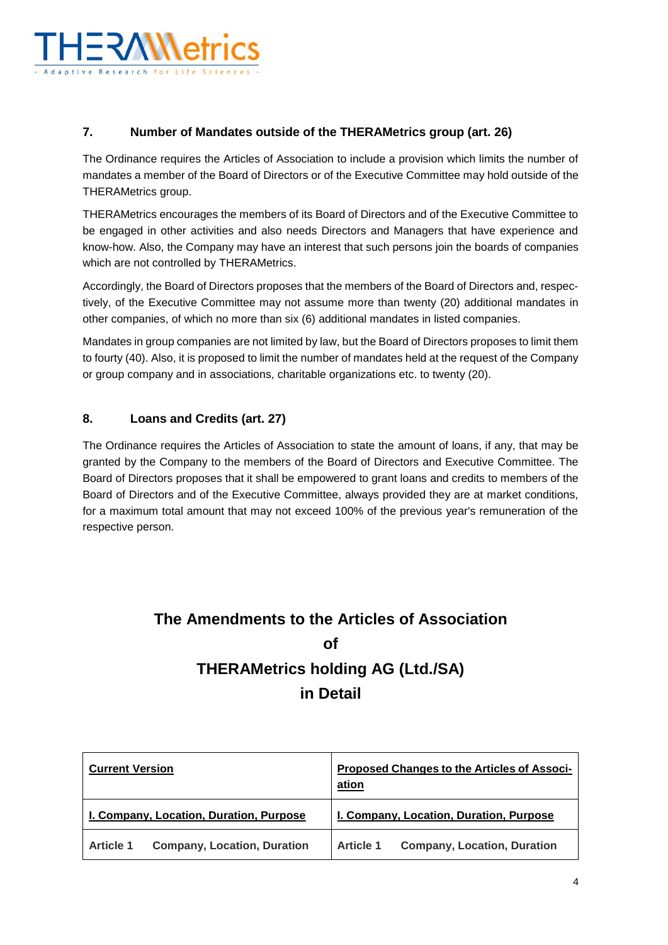

## **7. Number of Mandates outside of the THERAMetrics group (art. 26)**

The Ordinance requires the Articles of Association to include a provision which limits the number of mandates a member of the Board of Directors or of the Executive Committee may hold outside of the THERAMetrics group.

THERAMetrics encourages the members of its Board of Directors and of the Executive Committee to be engaged in other activities and also needs Directors and Managers that have experience and know-how. Also, the Company may have an interest that such persons join the boards of companies which are not controlled by THERAMetrics.

Accordingly, the Board of Directors proposes that the members of the Board of Directors and, respectively, of the Executive Committee may not assume more than twenty (20) additional mandates in other companies, of which no more than six (6) additional mandates in listed companies.

Mandates in group companies are not limited by law, but the Board of Directors proposes to limit them to fourty (40). Also, it is proposed to limit the number of mandates held at the request of the Company or group company and in associations, charitable organizations etc. to twenty (20).

#### **8. Loans and Credits (art. 27)**

The Ordinance requires the Articles of Association to state the amount of loans, if any, that may be granted by the Company to the members of the Board of Directors and Executive Committee. The Board of Directors proposes that it shall be empowered to grant loans and credits to members of the Board of Directors and of the Executive Committee, always provided they are at market conditions, for a maximum total amount that may not exceed 100% of the previous year's remuneration of the respective person.

# **The Amendments to the Articles of Association of THERAMetrics holding AG (Ltd./SA) in Detail**

| <b>Current Version</b>                                 | Proposed Changes to the Articles of Associ-<br>ation   |
|--------------------------------------------------------|--------------------------------------------------------|
| I. Company, Location, Duration, Purpose                | I. Company, Location, Duration, Purpose                |
| <b>Company, Location, Duration</b><br><b>Article 1</b> | <b>Company, Location, Duration</b><br><b>Article 1</b> |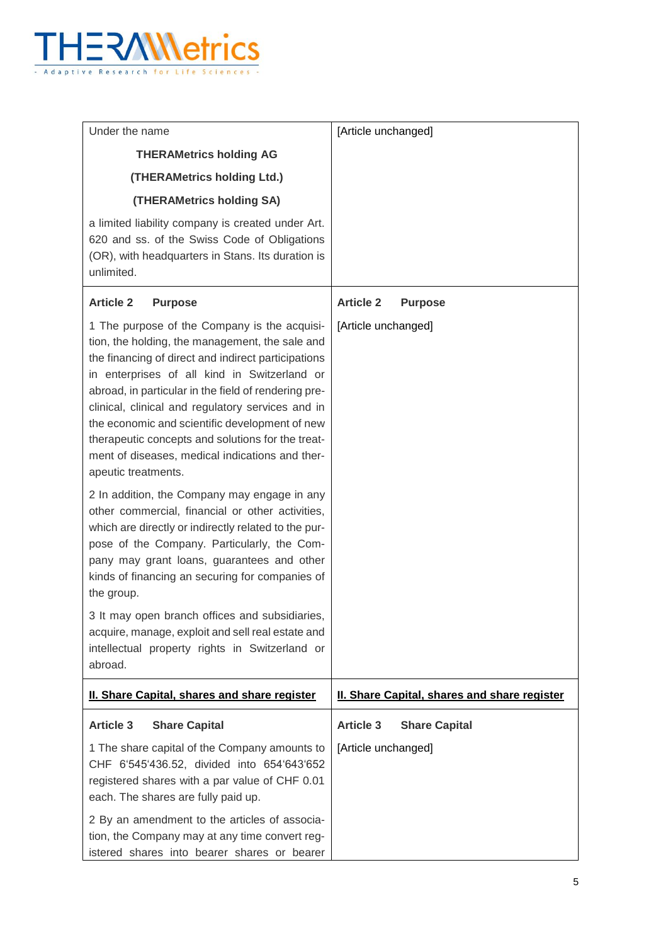

| Under the name                                                                                                                                                                                                                                                                                                                                                                                                                                                                                       | [Article unchanged]                          |
|------------------------------------------------------------------------------------------------------------------------------------------------------------------------------------------------------------------------------------------------------------------------------------------------------------------------------------------------------------------------------------------------------------------------------------------------------------------------------------------------------|----------------------------------------------|
| <b>THERAMetrics holding AG</b>                                                                                                                                                                                                                                                                                                                                                                                                                                                                       |                                              |
| (THERAMetrics holding Ltd.)                                                                                                                                                                                                                                                                                                                                                                                                                                                                          |                                              |
| (THERAMetrics holding SA)                                                                                                                                                                                                                                                                                                                                                                                                                                                                            |                                              |
| a limited liability company is created under Art.<br>620 and ss. of the Swiss Code of Obligations<br>(OR), with headquarters in Stans. Its duration is<br>unlimited.                                                                                                                                                                                                                                                                                                                                 |                                              |
| <b>Article 2</b><br><b>Purpose</b>                                                                                                                                                                                                                                                                                                                                                                                                                                                                   | <b>Article 2</b><br><b>Purpose</b>           |
| 1 The purpose of the Company is the acquisi-<br>tion, the holding, the management, the sale and<br>the financing of direct and indirect participations<br>in enterprises of all kind in Switzerland or<br>abroad, in particular in the field of rendering pre-<br>clinical, clinical and regulatory services and in<br>the economic and scientific development of new<br>therapeutic concepts and solutions for the treat-<br>ment of diseases, medical indications and ther-<br>apeutic treatments. | [Article unchanged]                          |
| 2 In addition, the Company may engage in any<br>other commercial, financial or other activities,<br>which are directly or indirectly related to the pur-<br>pose of the Company. Particularly, the Com-<br>pany may grant loans, guarantees and other<br>kinds of financing an securing for companies of<br>the group.                                                                                                                                                                               |                                              |
| 3 It may open branch offices and subsidiaries,<br>acquire, manage, exploit and sell real estate and<br>intellectual property rights in Switzerland or<br>abroad.                                                                                                                                                                                                                                                                                                                                     |                                              |
| <b>II. Share Capital, shares and share register</b>                                                                                                                                                                                                                                                                                                                                                                                                                                                  | II. Share Capital, shares and share register |
| <b>Article 3</b><br><b>Share Capital</b>                                                                                                                                                                                                                                                                                                                                                                                                                                                             | <b>Article 3</b><br><b>Share Capital</b>     |
| 1 The share capital of the Company amounts to<br>CHF 6'545'436.52, divided into 654'643'652<br>registered shares with a par value of CHF 0.01<br>each. The shares are fully paid up.                                                                                                                                                                                                                                                                                                                 | [Article unchanged]                          |
| 2 By an amendment to the articles of associa-<br>tion, the Company may at any time convert reg-<br>istered shares into bearer shares or bearer                                                                                                                                                                                                                                                                                                                                                       |                                              |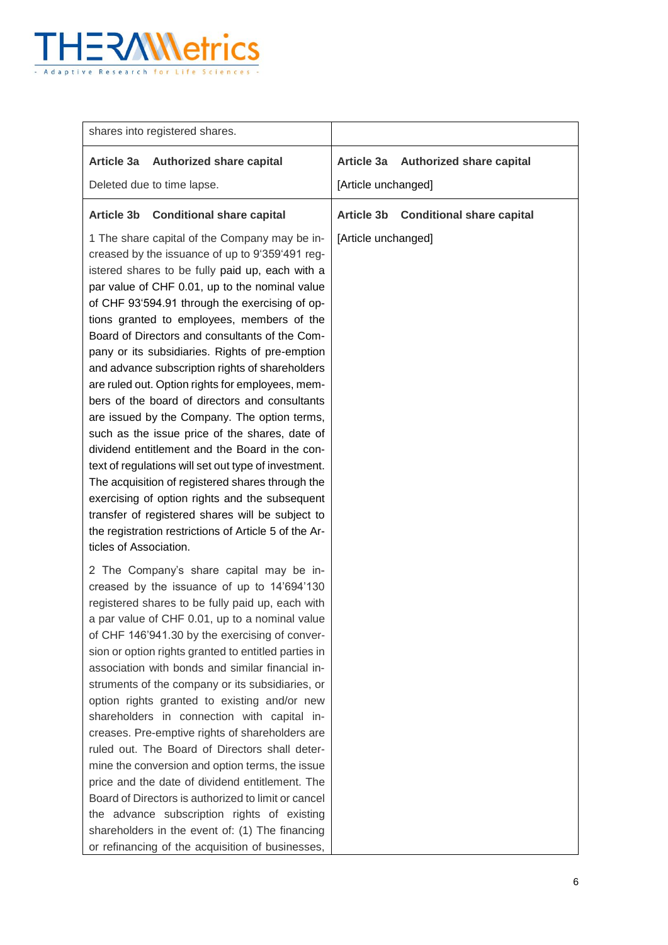

| shares into registered shares.                                                                                                                                                                                                                                                                                                                                                                                                                                                                                                                                                                                                                                                                                                                                                                                                                                                                                                                                                                                               |                                                       |
|------------------------------------------------------------------------------------------------------------------------------------------------------------------------------------------------------------------------------------------------------------------------------------------------------------------------------------------------------------------------------------------------------------------------------------------------------------------------------------------------------------------------------------------------------------------------------------------------------------------------------------------------------------------------------------------------------------------------------------------------------------------------------------------------------------------------------------------------------------------------------------------------------------------------------------------------------------------------------------------------------------------------------|-------------------------------------------------------|
| Article 3a Authorized share capital                                                                                                                                                                                                                                                                                                                                                                                                                                                                                                                                                                                                                                                                                                                                                                                                                                                                                                                                                                                          | Article 3a<br><b>Authorized share capital</b>         |
| Deleted due to time lapse.                                                                                                                                                                                                                                                                                                                                                                                                                                                                                                                                                                                                                                                                                                                                                                                                                                                                                                                                                                                                   | [Article unchanged]                                   |
| <b>Conditional share capital</b><br><b>Article 3b</b>                                                                                                                                                                                                                                                                                                                                                                                                                                                                                                                                                                                                                                                                                                                                                                                                                                                                                                                                                                        | <b>Article 3b</b><br><b>Conditional share capital</b> |
| 1 The share capital of the Company may be in-<br>creased by the issuance of up to 9'359'491 reg-<br>istered shares to be fully paid up, each with a<br>par value of CHF 0.01, up to the nominal value<br>of CHF 93'594.91 through the exercising of op-<br>tions granted to employees, members of the<br>Board of Directors and consultants of the Com-<br>pany or its subsidiaries. Rights of pre-emption<br>and advance subscription rights of shareholders<br>are ruled out. Option rights for employees, mem-<br>bers of the board of directors and consultants<br>are issued by the Company. The option terms,<br>such as the issue price of the shares, date of<br>dividend entitlement and the Board in the con-<br>text of regulations will set out type of investment.<br>The acquisition of registered shares through the<br>exercising of option rights and the subsequent<br>transfer of registered shares will be subject to<br>the registration restrictions of Article 5 of the Ar-<br>ticles of Association. | [Article unchanged]                                   |
| 2 The Company's share capital may be in-<br>creased by the issuance of up to 14'694'130<br>registered shares to be fully paid up, each with<br>a par value of CHF 0.01, up to a nominal value<br>of CHF 146'941.30 by the exercising of conver-<br>sion or option rights granted to entitled parties in<br>association with bonds and similar financial in-<br>struments of the company or its subsidiaries, or<br>option rights granted to existing and/or new<br>shareholders in connection with capital in-<br>creases. Pre-emptive rights of shareholders are<br>ruled out. The Board of Directors shall deter-<br>mine the conversion and option terms, the issue<br>price and the date of dividend entitlement. The<br>Board of Directors is authorized to limit or cancel<br>the advance subscription rights of existing<br>shareholders in the event of: (1) The financing<br>or refinancing of the acquisition of businesses,                                                                                       |                                                       |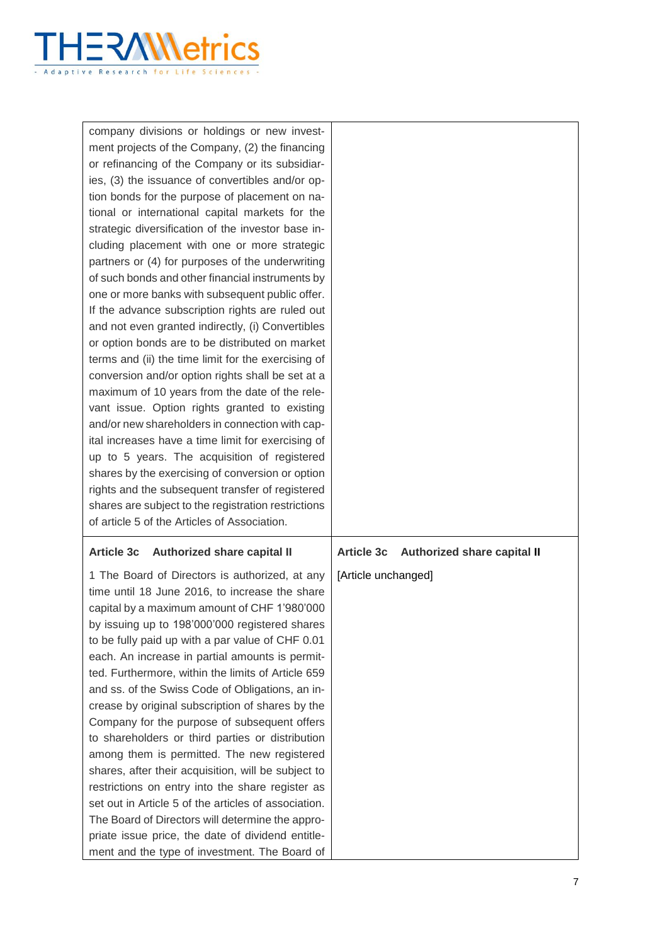

| company divisions or holdings or new invest-<br>ment projects of the Company, (2) the financing<br>or refinancing of the Company or its subsidiar-<br>ies, (3) the issuance of convertibles and/or op-<br>tion bonds for the purpose of placement on na-<br>tional or international capital markets for the<br>strategic diversification of the investor base in-<br>cluding placement with one or more strategic<br>partners or (4) for purposes of the underwriting<br>of such bonds and other financial instruments by<br>one or more banks with subsequent public offer.<br>If the advance subscription rights are ruled out<br>and not even granted indirectly, (i) Convertibles<br>or option bonds are to be distributed on market<br>terms and (ii) the time limit for the exercising of<br>conversion and/or option rights shall be set at a<br>maximum of 10 years from the date of the rele-<br>vant issue. Option rights granted to existing<br>and/or new shareholders in connection with cap-<br>ital increases have a time limit for exercising of<br>up to 5 years. The acquisition of registered<br>shares by the exercising of conversion or option<br>rights and the subsequent transfer of registered<br>shares are subject to the registration restrictions<br>of article 5 of the Articles of Association. |                                                  |
|---------------------------------------------------------------------------------------------------------------------------------------------------------------------------------------------------------------------------------------------------------------------------------------------------------------------------------------------------------------------------------------------------------------------------------------------------------------------------------------------------------------------------------------------------------------------------------------------------------------------------------------------------------------------------------------------------------------------------------------------------------------------------------------------------------------------------------------------------------------------------------------------------------------------------------------------------------------------------------------------------------------------------------------------------------------------------------------------------------------------------------------------------------------------------------------------------------------------------------------------------------------------------------------------------------------------------------|--------------------------------------------------|
| <b>Article 3c</b><br>Authorized share capital II                                                                                                                                                                                                                                                                                                                                                                                                                                                                                                                                                                                                                                                                                                                                                                                                                                                                                                                                                                                                                                                                                                                                                                                                                                                                                | <b>Article 3c</b><br>Authorized share capital II |
| 1 The Board of Directors is authorized, at any<br>time until 18 June 2016, to increase the share<br>capital by a maximum amount of CHF 1'980'000<br>by issuing up to 198'000'000 registered shares<br>to be fully paid up with a par value of CHF 0.01<br>each. An increase in partial amounts is permit-<br>ted. Furthermore, within the limits of Article 659<br>and ss. of the Swiss Code of Obligations, an in-<br>crease by original subscription of shares by the<br>Company for the purpose of subsequent offers<br>to shareholders or third parties or distribution<br>among them is permitted. The new registered<br>shares, after their acquisition, will be subject to<br>restrictions on entry into the share register as<br>set out in Article 5 of the articles of association.<br>The Board of Directors will determine the appro-<br>priate issue price, the date of dividend entitle-<br>ment and the type of investment. The Board of                                                                                                                                                                                                                                                                                                                                                                         | [Article unchanged]                              |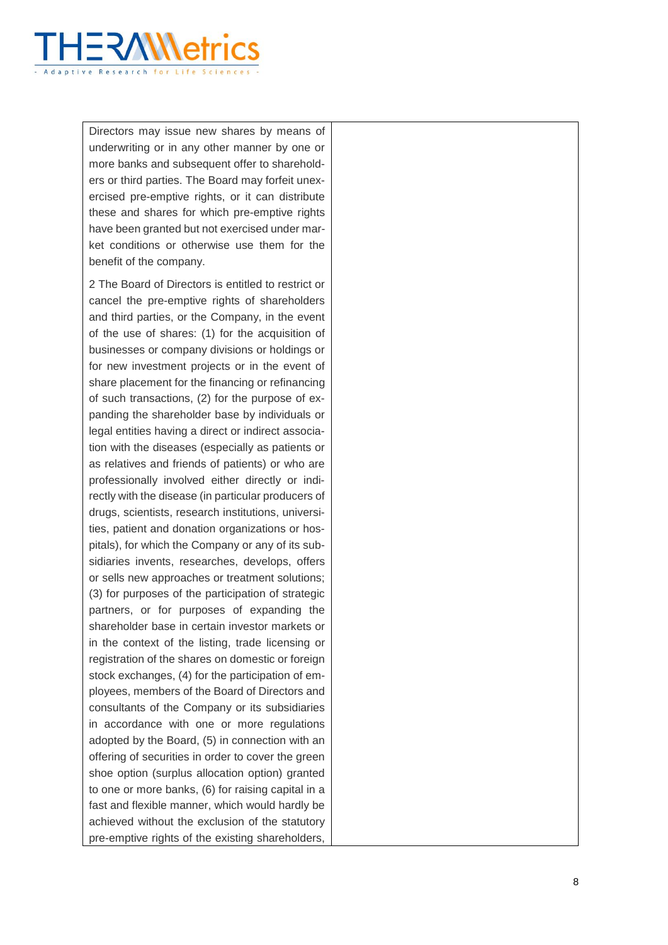

Directors may issue new shares by means of underwriting or in any other manner by one or more banks and subsequent offer to shareholders or third parties. The Board may forfeit unexercised pre-emptive rights, or it can distribute these and shares for which pre -emptive rights have been granted but not exercised under market conditions or otherwise use them for the benefit of the company.

2 The Board of Directors is entitled to restrict or cancel the pre -emptive rights of shareholders and third parties, or the Company, in the event of the use of shares: (1) for the acquisition of businesses or company divisions or holdings or for new investment projects or in the event of share placement for the financing or refinancing of such transactions, (2) for the purpose of expanding the shareholder base by individuals or legal entities having a direct or indirect association with the diseases (especially as patients or as relatives and friends of patients) or who are professionally involved either directly or indirectly with the disease (in particular producers of drugs, scientists, research institutions, universities, patient and donation organizations or hospitals), for which the Company or any of its subsidiaries invents, researches, develops, offers or sells new approaches or treatment solutions; (3) for purposes of the participation of strategic partners, or for purposes of expanding the shareholder base in certain investor markets or in the context of the listing, trade licensing or registration of the shares on domestic or foreign stock exchanges, (4) for the participation of employees, members of the Board of Directors and consultants of the Company or its subsidiaries in accordance with one or more regulations adopted by the Board, (5) in connection with an offering of securities in order to cover the green shoe option (surplus allocation option) granted to one or more banks, (6) for raising capital in a fast and flexible manner, which would hardly be achieved without the exclusion of the statutory pre -emptive rights of the existing shareholders,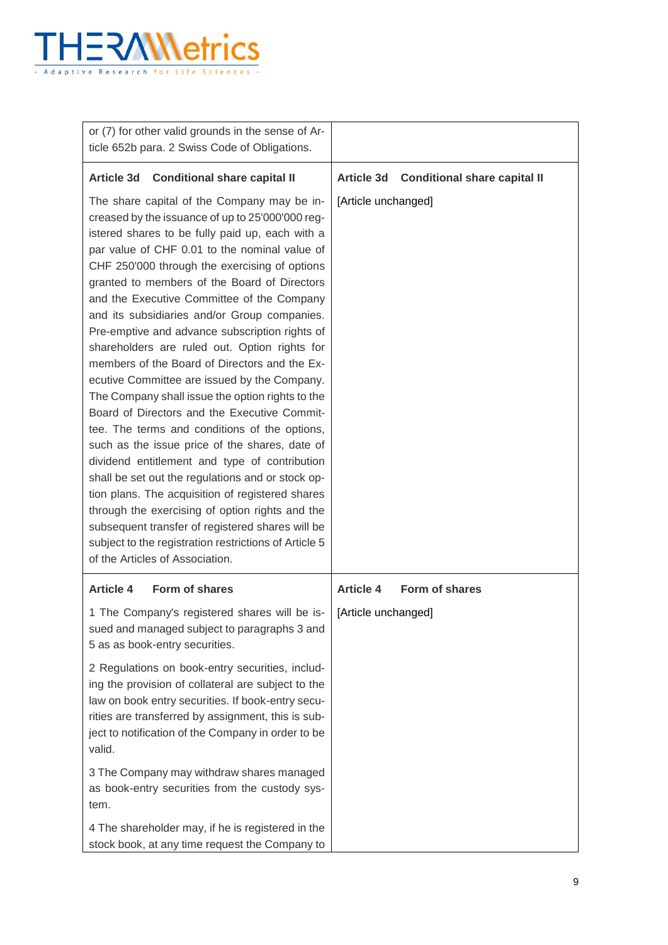

| or (7) for other valid grounds in the sense of Ar-<br>ticle 652b para. 2 Swiss Code of Obligations.                                                                                                                                                                                                                                                                                                                                                                                                                                                                                                                                                                                                                                                                                                                                                                                                                                                                                                                                                                                                                                                                        |                                                          |
|----------------------------------------------------------------------------------------------------------------------------------------------------------------------------------------------------------------------------------------------------------------------------------------------------------------------------------------------------------------------------------------------------------------------------------------------------------------------------------------------------------------------------------------------------------------------------------------------------------------------------------------------------------------------------------------------------------------------------------------------------------------------------------------------------------------------------------------------------------------------------------------------------------------------------------------------------------------------------------------------------------------------------------------------------------------------------------------------------------------------------------------------------------------------------|----------------------------------------------------------|
| <b>Conditional share capital II</b><br><b>Article 3d</b>                                                                                                                                                                                                                                                                                                                                                                                                                                                                                                                                                                                                                                                                                                                                                                                                                                                                                                                                                                                                                                                                                                                   | <b>Conditional share capital II</b><br><b>Article 3d</b> |
| The share capital of the Company may be in-<br>creased by the issuance of up to 25'000'000 reg-<br>istered shares to be fully paid up, each with a<br>par value of CHF 0.01 to the nominal value of<br>CHF 250'000 through the exercising of options<br>granted to members of the Board of Directors<br>and the Executive Committee of the Company<br>and its subsidiaries and/or Group companies.<br>Pre-emptive and advance subscription rights of<br>shareholders are ruled out. Option rights for<br>members of the Board of Directors and the Ex-<br>ecutive Committee are issued by the Company.<br>The Company shall issue the option rights to the<br>Board of Directors and the Executive Commit-<br>tee. The terms and conditions of the options,<br>such as the issue price of the shares, date of<br>dividend entitlement and type of contribution<br>shall be set out the regulations and or stock op-<br>tion plans. The acquisition of registered shares<br>through the exercising of option rights and the<br>subsequent transfer of registered shares will be<br>subject to the registration restrictions of Article 5<br>of the Articles of Association. | [Article unchanged]                                      |
| <b>Article 4</b><br>Form of shares                                                                                                                                                                                                                                                                                                                                                                                                                                                                                                                                                                                                                                                                                                                                                                                                                                                                                                                                                                                                                                                                                                                                         | <b>Article 4</b><br>Form of shares                       |
| 1 The Company's registered shares will be is-<br>sued and managed subject to paragraphs 3 and<br>5 as as book-entry securities.<br>2 Regulations on book-entry securities, includ-<br>ing the provision of collateral are subject to the<br>law on book entry securities. If book-entry secu-<br>rities are transferred by assignment, this is sub-<br>ject to notification of the Company in order to be<br>valid.<br>3 The Company may withdraw shares managed<br>as book-entry securities from the custody sys-                                                                                                                                                                                                                                                                                                                                                                                                                                                                                                                                                                                                                                                         | [Article unchanged]                                      |
| tem.                                                                                                                                                                                                                                                                                                                                                                                                                                                                                                                                                                                                                                                                                                                                                                                                                                                                                                                                                                                                                                                                                                                                                                       |                                                          |
| 4 The shareholder may, if he is registered in the<br>stock book, at any time request the Company to                                                                                                                                                                                                                                                                                                                                                                                                                                                                                                                                                                                                                                                                                                                                                                                                                                                                                                                                                                                                                                                                        |                                                          |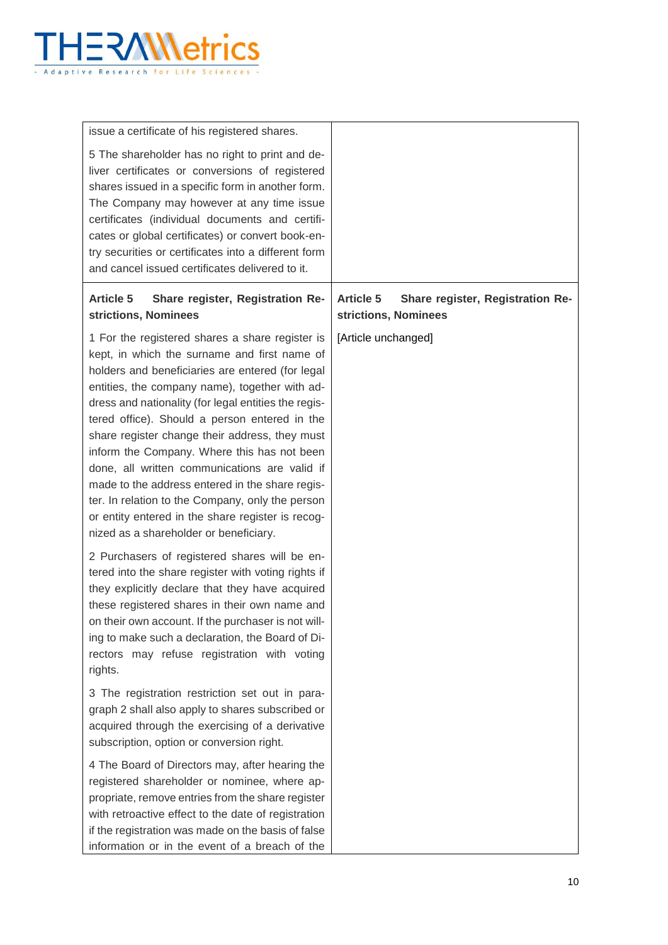

| issue a certificate of his registered shares.                                                                                                                                                                                                                                                                                                                                                                                                                                                                                                                                                                                                                          |                                                                              |
|------------------------------------------------------------------------------------------------------------------------------------------------------------------------------------------------------------------------------------------------------------------------------------------------------------------------------------------------------------------------------------------------------------------------------------------------------------------------------------------------------------------------------------------------------------------------------------------------------------------------------------------------------------------------|------------------------------------------------------------------------------|
| 5 The shareholder has no right to print and de-<br>liver certificates or conversions of registered<br>shares issued in a specific form in another form.<br>The Company may however at any time issue<br>certificates (individual documents and certifi-<br>cates or global certificates) or convert book-en-<br>try securities or certificates into a different form<br>and cancel issued certificates delivered to it.                                                                                                                                                                                                                                                |                                                                              |
| <b>Article 5</b><br>Share register, Registration Re-<br>strictions, Nominees                                                                                                                                                                                                                                                                                                                                                                                                                                                                                                                                                                                           | <b>Article 5</b><br>Share register, Registration Re-<br>strictions, Nominees |
| 1 For the registered shares a share register is<br>kept, in which the surname and first name of<br>holders and beneficiaries are entered (for legal<br>entities, the company name), together with ad-<br>dress and nationality (for legal entities the regis-<br>tered office). Should a person entered in the<br>share register change their address, they must<br>inform the Company. Where this has not been<br>done, all written communications are valid if<br>made to the address entered in the share regis-<br>ter. In relation to the Company, only the person<br>or entity entered in the share register is recog-<br>nized as a shareholder or beneficiary. | [Article unchanged]                                                          |
| 2 Purchasers of registered shares will be en-<br>tered into the share register with voting rights if<br>they explicitly declare that they have acquired<br>these registered shares in their own name and<br>on their own account. If the purchaser is not will-<br>ing to make such a declaration, the Board of Di-<br>rectors may refuse registration with voting<br>rights.                                                                                                                                                                                                                                                                                          |                                                                              |
| 3 The registration restriction set out in para-<br>graph 2 shall also apply to shares subscribed or<br>acquired through the exercising of a derivative<br>subscription, option or conversion right.                                                                                                                                                                                                                                                                                                                                                                                                                                                                    |                                                                              |
| 4 The Board of Directors may, after hearing the<br>registered shareholder or nominee, where ap-<br>propriate, remove entries from the share register<br>with retroactive effect to the date of registration<br>if the registration was made on the basis of false<br>information or in the event of a breach of the                                                                                                                                                                                                                                                                                                                                                    |                                                                              |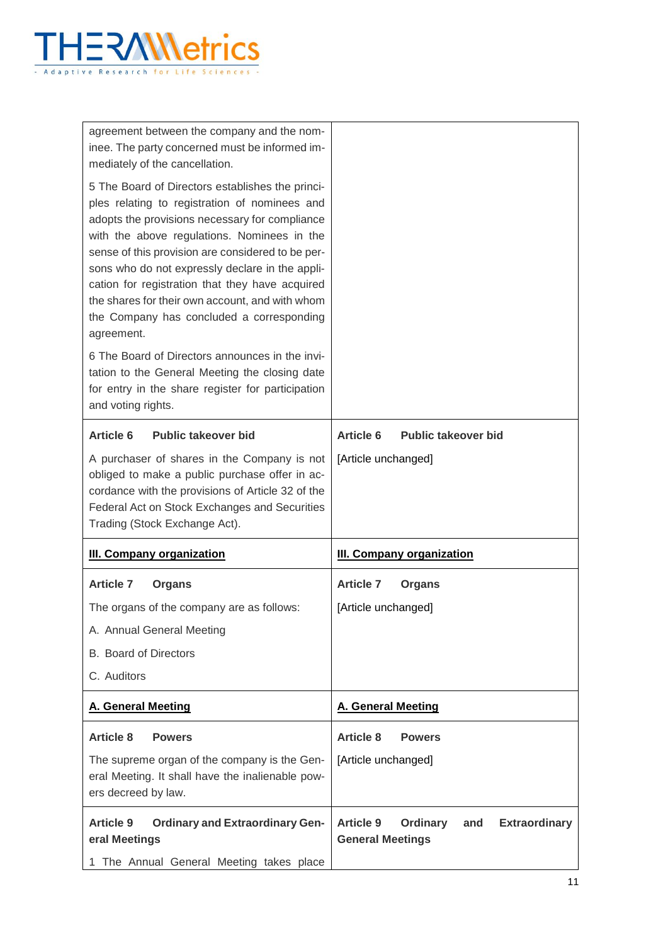

| agreement between the company and the nom-<br>inee. The party concerned must be informed im-<br>mediately of the cancellation.                                                                                                                                                                                                                                                                                                                                              |                                                                                               |
|-----------------------------------------------------------------------------------------------------------------------------------------------------------------------------------------------------------------------------------------------------------------------------------------------------------------------------------------------------------------------------------------------------------------------------------------------------------------------------|-----------------------------------------------------------------------------------------------|
| 5 The Board of Directors establishes the princi-<br>ples relating to registration of nominees and<br>adopts the provisions necessary for compliance<br>with the above regulations. Nominees in the<br>sense of this provision are considered to be per-<br>sons who do not expressly declare in the appli-<br>cation for registration that they have acquired<br>the shares for their own account, and with whom<br>the Company has concluded a corresponding<br>agreement. |                                                                                               |
| 6 The Board of Directors announces in the invi-<br>tation to the General Meeting the closing date<br>for entry in the share register for participation<br>and voting rights.                                                                                                                                                                                                                                                                                                |                                                                                               |
| <b>Article 6</b><br><b>Public takeover bid</b>                                                                                                                                                                                                                                                                                                                                                                                                                              | <b>Article 6</b><br><b>Public takeover bid</b>                                                |
| A purchaser of shares in the Company is not<br>obliged to make a public purchase offer in ac-<br>cordance with the provisions of Article 32 of the<br>Federal Act on Stock Exchanges and Securities<br>Trading (Stock Exchange Act).                                                                                                                                                                                                                                        | [Article unchanged]                                                                           |
| <b>III. Company organization</b>                                                                                                                                                                                                                                                                                                                                                                                                                                            | <b>III. Company organization</b>                                                              |
| <b>Article 7</b><br><b>Organs</b>                                                                                                                                                                                                                                                                                                                                                                                                                                           | <b>Article 7</b><br><b>Organs</b>                                                             |
| The organs of the company are as follows:                                                                                                                                                                                                                                                                                                                                                                                                                                   | [Article unchanged]                                                                           |
| A. Annual General Meeting                                                                                                                                                                                                                                                                                                                                                                                                                                                   |                                                                                               |
| <b>B.</b> Board of Directors                                                                                                                                                                                                                                                                                                                                                                                                                                                |                                                                                               |
| C. Auditors                                                                                                                                                                                                                                                                                                                                                                                                                                                                 |                                                                                               |
| <b>A. General Meeting</b>                                                                                                                                                                                                                                                                                                                                                                                                                                                   | <b>A. General Meeting</b>                                                                     |
| <b>Article 8</b><br><b>Powers</b>                                                                                                                                                                                                                                                                                                                                                                                                                                           | <b>Article 8</b><br><b>Powers</b>                                                             |
| The supreme organ of the company is the Gen-<br>eral Meeting. It shall have the inalienable pow-<br>ers decreed by law.                                                                                                                                                                                                                                                                                                                                                     | [Article unchanged]                                                                           |
| <b>Article 9</b><br><b>Ordinary and Extraordinary Gen-</b><br>eral Meetings                                                                                                                                                                                                                                                                                                                                                                                                 | <b>Article 9</b><br><b>Ordinary</b><br><b>Extraordinary</b><br>and<br><b>General Meetings</b> |
| 1 The Annual General Meeting takes place                                                                                                                                                                                                                                                                                                                                                                                                                                    |                                                                                               |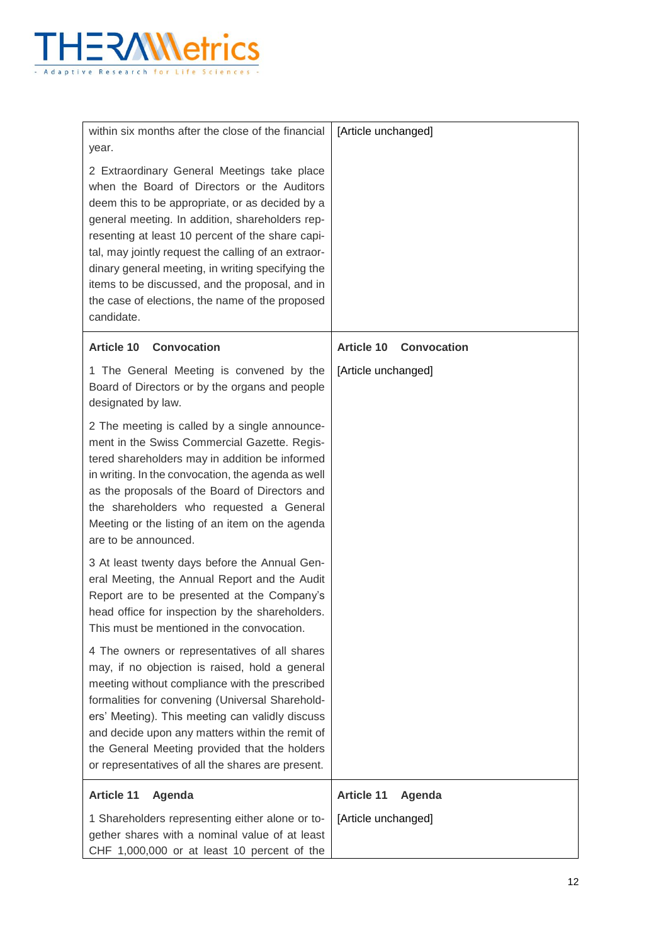

| within six months after the close of the financial<br>year.                                                                                                                                                                                                                                                                                                                                                                                                                          | [Article unchanged]                     |
|--------------------------------------------------------------------------------------------------------------------------------------------------------------------------------------------------------------------------------------------------------------------------------------------------------------------------------------------------------------------------------------------------------------------------------------------------------------------------------------|-----------------------------------------|
| 2 Extraordinary General Meetings take place<br>when the Board of Directors or the Auditors<br>deem this to be appropriate, or as decided by a<br>general meeting. In addition, shareholders rep-<br>resenting at least 10 percent of the share capi-<br>tal, may jointly request the calling of an extraor-<br>dinary general meeting, in writing specifying the<br>items to be discussed, and the proposal, and in<br>the case of elections, the name of the proposed<br>candidate. |                                         |
| <b>Article 10</b><br><b>Convocation</b>                                                                                                                                                                                                                                                                                                                                                                                                                                              | <b>Convocation</b><br><b>Article 10</b> |
| 1 The General Meeting is convened by the<br>Board of Directors or by the organs and people<br>designated by law.                                                                                                                                                                                                                                                                                                                                                                     | [Article unchanged]                     |
| 2 The meeting is called by a single announce-<br>ment in the Swiss Commercial Gazette. Regis-<br>tered shareholders may in addition be informed<br>in writing. In the convocation, the agenda as well<br>as the proposals of the Board of Directors and<br>the shareholders who requested a General<br>Meeting or the listing of an item on the agenda<br>are to be announced.                                                                                                       |                                         |
| 3 At least twenty days before the Annual Gen-<br>eral Meeting, the Annual Report and the Audit<br>Report are to be presented at the Company's<br>head office for inspection by the shareholders.<br>This must be mentioned in the convocation.                                                                                                                                                                                                                                       |                                         |
| 4 The owners or representatives of all shares<br>may, if no objection is raised, hold a general<br>meeting without compliance with the prescribed<br>formalities for convening (Universal Sharehold-<br>ers' Meeting). This meeting can validly discuss<br>and decide upon any matters within the remit of<br>the General Meeting provided that the holders<br>or representatives of all the shares are present.                                                                     |                                         |
| <b>Article 11</b><br>Agenda                                                                                                                                                                                                                                                                                                                                                                                                                                                          | <b>Article 11</b><br>Agenda             |
| 1 Shareholders representing either alone or to-<br>gether shares with a nominal value of at least<br>CHF 1,000,000 or at least 10 percent of the                                                                                                                                                                                                                                                                                                                                     | [Article unchanged]                     |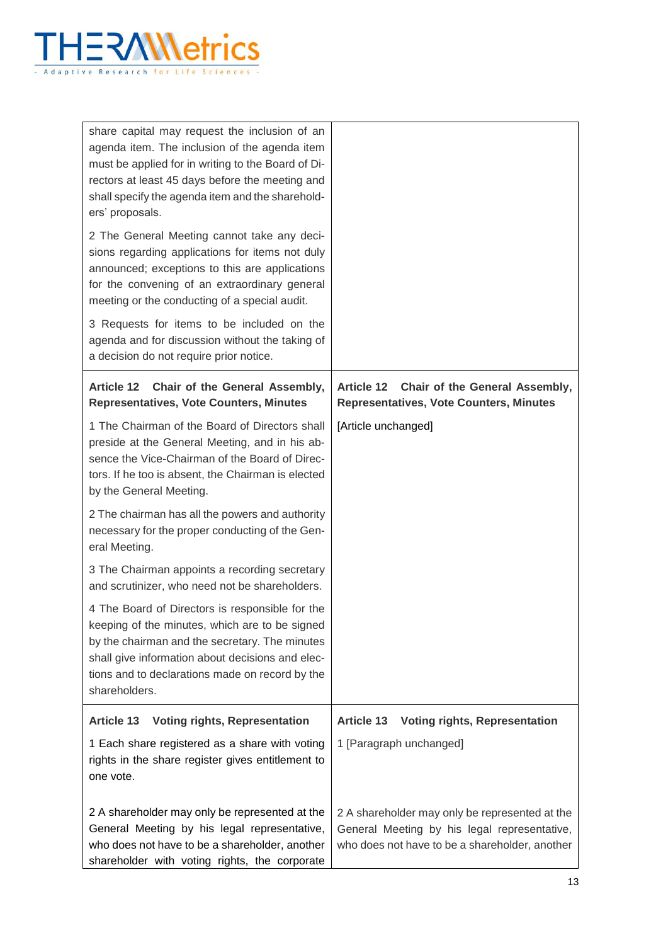

| share capital may request the inclusion of an<br>agenda item. The inclusion of the agenda item<br>must be applied for in writing to the Board of Di-<br>rectors at least 45 days before the meeting and<br>shall specify the agenda item and the sharehold-<br>ers' proposals.<br>2 The General Meeting cannot take any deci-<br>sions regarding applications for items not duly<br>announced; exceptions to this are applications<br>for the convening of an extraordinary general<br>meeting or the conducting of a special audit.<br>3 Requests for items to be included on the<br>agenda and for discussion without the taking of<br>a decision do not require prior notice. |                                                                                                                                                  |
|----------------------------------------------------------------------------------------------------------------------------------------------------------------------------------------------------------------------------------------------------------------------------------------------------------------------------------------------------------------------------------------------------------------------------------------------------------------------------------------------------------------------------------------------------------------------------------------------------------------------------------------------------------------------------------|--------------------------------------------------------------------------------------------------------------------------------------------------|
| Chair of the General Assembly,<br><b>Article 12</b><br><b>Representatives, Vote Counters, Minutes</b>                                                                                                                                                                                                                                                                                                                                                                                                                                                                                                                                                                            | Chair of the General Assembly,<br><b>Article 12</b><br><b>Representatives, Vote Counters, Minutes</b>                                            |
| 1 The Chairman of the Board of Directors shall<br>preside at the General Meeting, and in his ab-<br>sence the Vice-Chairman of the Board of Direc-<br>tors. If he too is absent, the Chairman is elected<br>by the General Meeting.                                                                                                                                                                                                                                                                                                                                                                                                                                              | [Article unchanged]                                                                                                                              |
| 2 The chairman has all the powers and authority<br>necessary for the proper conducting of the Gen-<br>eral Meeting.                                                                                                                                                                                                                                                                                                                                                                                                                                                                                                                                                              |                                                                                                                                                  |
| 3 The Chairman appoints a recording secretary<br>and scrutinizer, who need not be shareholders.                                                                                                                                                                                                                                                                                                                                                                                                                                                                                                                                                                                  |                                                                                                                                                  |
| 4 The Board of Directors is responsible for the<br>keeping of the minutes, which are to be signed<br>by the chairman and the secretary. The minutes<br>shall give information about decisions and elec-<br>tions and to declarations made on record by the<br>shareholders.                                                                                                                                                                                                                                                                                                                                                                                                      |                                                                                                                                                  |
| <b>Voting rights, Representation</b><br><b>Article 13</b>                                                                                                                                                                                                                                                                                                                                                                                                                                                                                                                                                                                                                        | <b>Voting rights, Representation</b><br><b>Article 13</b>                                                                                        |
| 1 Each share registered as a share with voting<br>rights in the share register gives entitlement to<br>one vote.                                                                                                                                                                                                                                                                                                                                                                                                                                                                                                                                                                 | 1 [Paragraph unchanged]                                                                                                                          |
| 2 A shareholder may only be represented at the<br>General Meeting by his legal representative,<br>who does not have to be a shareholder, another<br>shareholder with voting rights, the corporate                                                                                                                                                                                                                                                                                                                                                                                                                                                                                | 2 A shareholder may only be represented at the<br>General Meeting by his legal representative,<br>who does not have to be a shareholder, another |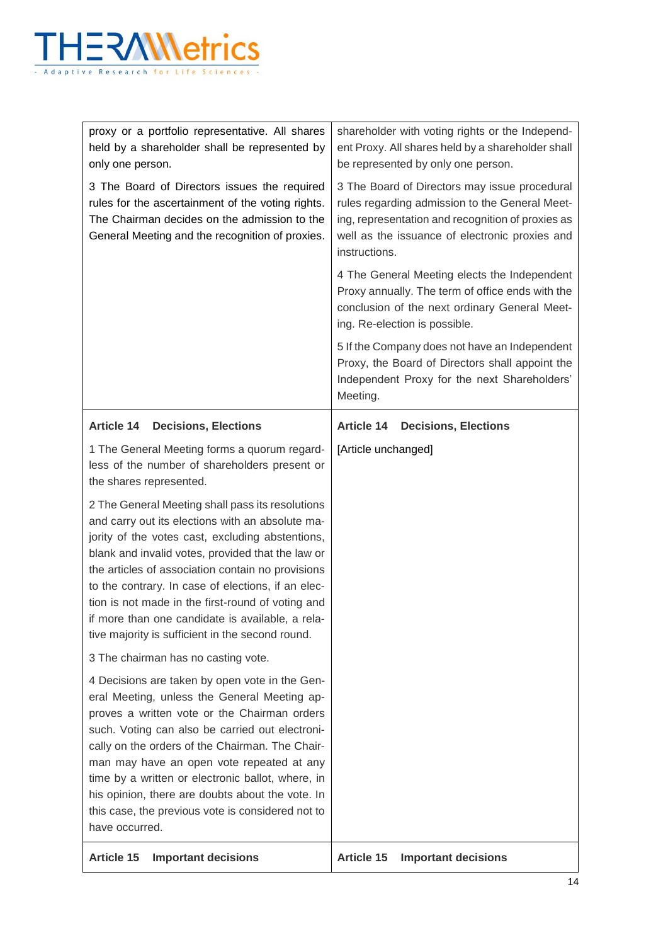

| proxy or a portfolio representative. All shares<br>held by a shareholder shall be represented by<br>only one person.                                                                                                                                                                                                                                                                                                                                                                  | shareholder with voting rights or the Independ-<br>ent Proxy. All shares held by a shareholder shall<br>be represented by only one person.                                                                              |
|---------------------------------------------------------------------------------------------------------------------------------------------------------------------------------------------------------------------------------------------------------------------------------------------------------------------------------------------------------------------------------------------------------------------------------------------------------------------------------------|-------------------------------------------------------------------------------------------------------------------------------------------------------------------------------------------------------------------------|
| 3 The Board of Directors issues the required<br>rules for the ascertainment of the voting rights.<br>The Chairman decides on the admission to the<br>General Meeting and the recognition of proxies.                                                                                                                                                                                                                                                                                  | 3 The Board of Directors may issue procedural<br>rules regarding admission to the General Meet-<br>ing, representation and recognition of proxies as<br>well as the issuance of electronic proxies and<br>instructions. |
|                                                                                                                                                                                                                                                                                                                                                                                                                                                                                       | 4 The General Meeting elects the Independent<br>Proxy annually. The term of office ends with the<br>conclusion of the next ordinary General Meet-<br>ing. Re-election is possible.                                      |
|                                                                                                                                                                                                                                                                                                                                                                                                                                                                                       | 5 If the Company does not have an Independent<br>Proxy, the Board of Directors shall appoint the<br>Independent Proxy for the next Shareholders'<br>Meeting.                                                            |
| <b>Article 14</b><br><b>Decisions, Elections</b>                                                                                                                                                                                                                                                                                                                                                                                                                                      | <b>Article 14</b><br><b>Decisions, Elections</b>                                                                                                                                                                        |
| 1 The General Meeting forms a quorum regard-<br>less of the number of shareholders present or<br>the shares represented.                                                                                                                                                                                                                                                                                                                                                              | [Article unchanged]                                                                                                                                                                                                     |
| 2 The General Meeting shall pass its resolutions<br>and carry out its elections with an absolute ma-<br>jority of the votes cast, excluding abstentions,<br>blank and invalid votes, provided that the law or<br>the articles of association contain no provisions<br>to the contrary. In case of elections, if an elec-<br>tion is not made in the first-round of voting and<br>if more than one candidate is available, a rela-<br>tive majority is sufficient in the second round. |                                                                                                                                                                                                                         |
| 3 The chairman has no casting vote.                                                                                                                                                                                                                                                                                                                                                                                                                                                   |                                                                                                                                                                                                                         |
| 4 Decisions are taken by open vote in the Gen-<br>eral Meeting, unless the General Meeting ap-<br>proves a written vote or the Chairman orders<br>such. Voting can also be carried out electroni-<br>cally on the orders of the Chairman. The Chair-<br>man may have an open vote repeated at any<br>time by a written or electronic ballot, where, in<br>his opinion, there are doubts about the vote. In<br>this case, the previous vote is considered not to<br>have occurred.     |                                                                                                                                                                                                                         |
| <b>Article 15</b><br><b>Important decisions</b>                                                                                                                                                                                                                                                                                                                                                                                                                                       | <b>Article 15</b><br><b>Important decisions</b>                                                                                                                                                                         |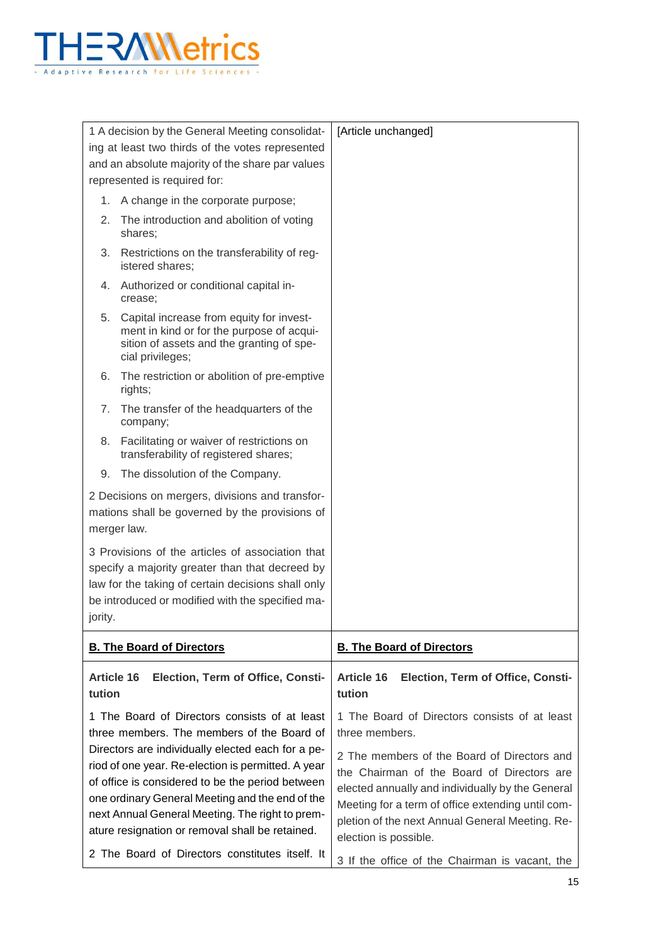

|         | 1 A decision by the General Meeting consolidat-<br>ing at least two thirds of the votes represented<br>and an absolute majority of the share par values                                                                                                                                                              | [Article unchanged]                                                                                                                                                                                                                                                            |
|---------|----------------------------------------------------------------------------------------------------------------------------------------------------------------------------------------------------------------------------------------------------------------------------------------------------------------------|--------------------------------------------------------------------------------------------------------------------------------------------------------------------------------------------------------------------------------------------------------------------------------|
|         | represented is required for:                                                                                                                                                                                                                                                                                         |                                                                                                                                                                                                                                                                                |
| 1.      | A change in the corporate purpose;                                                                                                                                                                                                                                                                                   |                                                                                                                                                                                                                                                                                |
| 2.      | The introduction and abolition of voting<br>shares:                                                                                                                                                                                                                                                                  |                                                                                                                                                                                                                                                                                |
| 3.      | Restrictions on the transferability of reg-<br>istered shares;                                                                                                                                                                                                                                                       |                                                                                                                                                                                                                                                                                |
|         | 4. Authorized or conditional capital in-<br>crease;                                                                                                                                                                                                                                                                  |                                                                                                                                                                                                                                                                                |
| 5.      | Capital increase from equity for invest-<br>ment in kind or for the purpose of acqui-<br>sition of assets and the granting of spe-<br>cial privileges;                                                                                                                                                               |                                                                                                                                                                                                                                                                                |
| 6.      | The restriction or abolition of pre-emptive<br>rights;                                                                                                                                                                                                                                                               |                                                                                                                                                                                                                                                                                |
| 7.      | The transfer of the headquarters of the<br>company;                                                                                                                                                                                                                                                                  |                                                                                                                                                                                                                                                                                |
| 8.      | Facilitating or waiver of restrictions on<br>transferability of registered shares;                                                                                                                                                                                                                                   |                                                                                                                                                                                                                                                                                |
| 9.      | The dissolution of the Company.                                                                                                                                                                                                                                                                                      |                                                                                                                                                                                                                                                                                |
|         | 2 Decisions on mergers, divisions and transfor-<br>mations shall be governed by the provisions of<br>merger law.                                                                                                                                                                                                     |                                                                                                                                                                                                                                                                                |
| jority. | 3 Provisions of the articles of association that<br>specify a majority greater than that decreed by<br>law for the taking of certain decisions shall only<br>be introduced or modified with the specified ma-                                                                                                        |                                                                                                                                                                                                                                                                                |
|         | <b>B. The Board of Directors</b>                                                                                                                                                                                                                                                                                     | <b>B. The Board of Directors</b>                                                                                                                                                                                                                                               |
| tution  | <b>Article 16</b><br>Election, Term of Office, Consti-                                                                                                                                                                                                                                                               | <b>Article 16</b><br>Election, Term of Office, Consti-<br>tution                                                                                                                                                                                                               |
|         | 1 The Board of Directors consists of at least<br>three members. The members of the Board of                                                                                                                                                                                                                          | 1 The Board of Directors consists of at least<br>three members.                                                                                                                                                                                                                |
|         | Directors are individually elected each for a pe-<br>riod of one year. Re-election is permitted. A year<br>of office is considered to be the period between<br>one ordinary General Meeting and the end of the<br>next Annual General Meeting. The right to prem-<br>ature resignation or removal shall be retained. | 2 The members of the Board of Directors and<br>the Chairman of the Board of Directors are<br>elected annually and individually by the General<br>Meeting for a term of office extending until com-<br>pletion of the next Annual General Meeting. Re-<br>election is possible. |
|         | 2 The Board of Directors constitutes itself. It                                                                                                                                                                                                                                                                      | 3 If the office of the Chairman is vacant, the                                                                                                                                                                                                                                 |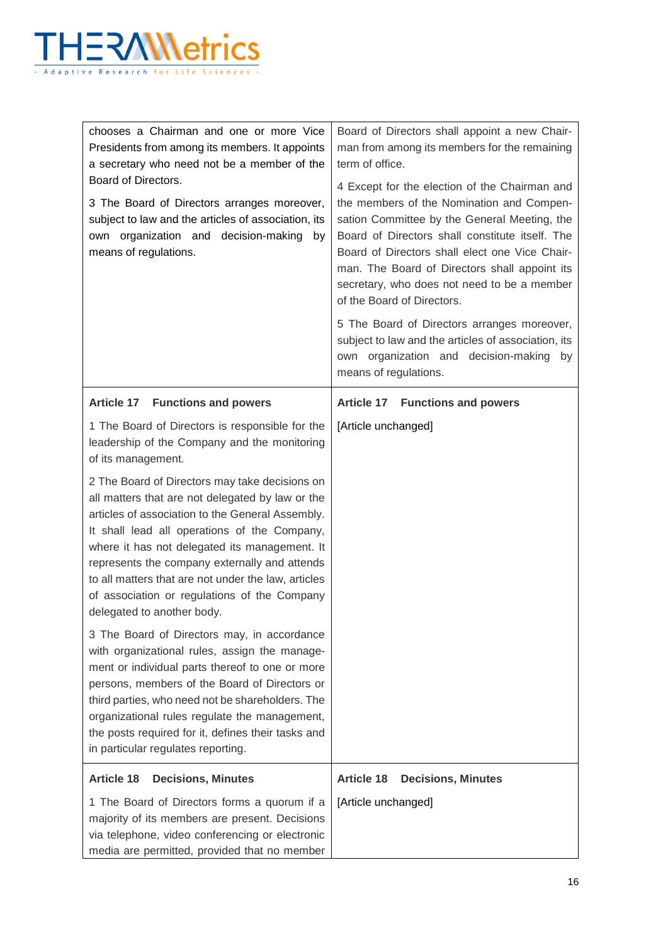

| chooses a Chairman and one or more Vice<br>Presidents from among its members. It appoints<br>a secretary who need not be a member of the<br>Board of Directors.<br>3 The Board of Directors arranges moreover,<br>subject to law and the articles of association, its<br>own organization and decision-making<br>by<br>means of regulations.                                                                                                                                                                                                                                                                                                                                                                              | Board of Directors shall appoint a new Chair-<br>man from among its members for the remaining<br>term of office.<br>4 Except for the election of the Chairman and<br>the members of the Nomination and Compen-<br>sation Committee by the General Meeting, the<br>Board of Directors shall constitute itself. The<br>Board of Directors shall elect one Vice Chair-<br>man. The Board of Directors shall appoint its<br>secretary, who does not need to be a member<br>of the Board of Directors.<br>5 The Board of Directors arranges moreover,<br>subject to law and the articles of association, its<br>own organization and decision-making by<br>means of regulations. |
|---------------------------------------------------------------------------------------------------------------------------------------------------------------------------------------------------------------------------------------------------------------------------------------------------------------------------------------------------------------------------------------------------------------------------------------------------------------------------------------------------------------------------------------------------------------------------------------------------------------------------------------------------------------------------------------------------------------------------|-----------------------------------------------------------------------------------------------------------------------------------------------------------------------------------------------------------------------------------------------------------------------------------------------------------------------------------------------------------------------------------------------------------------------------------------------------------------------------------------------------------------------------------------------------------------------------------------------------------------------------------------------------------------------------|
| Article 17 Functions and powers                                                                                                                                                                                                                                                                                                                                                                                                                                                                                                                                                                                                                                                                                           | <b>Article 17 Functions and powers</b>                                                                                                                                                                                                                                                                                                                                                                                                                                                                                                                                                                                                                                      |
| 1 The Board of Directors is responsible for the<br>leadership of the Company and the monitoring<br>of its management.<br>2 The Board of Directors may take decisions on<br>all matters that are not delegated by law or the<br>articles of association to the General Assembly.<br>It shall lead all operations of the Company,<br>where it has not delegated its management. It<br>represents the company externally and attends<br>to all matters that are not under the law, articles<br>of association or regulations of the Company<br>delegated to another body.<br>3 The Board of Directors may, in accordance<br>with organizational rules, assign the manage-<br>ment or individual parts thereof to one or more | [Article unchanged]                                                                                                                                                                                                                                                                                                                                                                                                                                                                                                                                                                                                                                                         |
| persons, members of the Board of Directors or<br>third parties, who need not be shareholders. The<br>organizational rules regulate the management,<br>the posts required for it, defines their tasks and<br>in particular regulates reporting.                                                                                                                                                                                                                                                                                                                                                                                                                                                                            |                                                                                                                                                                                                                                                                                                                                                                                                                                                                                                                                                                                                                                                                             |
| <b>Article 18</b><br><b>Decisions, Minutes</b>                                                                                                                                                                                                                                                                                                                                                                                                                                                                                                                                                                                                                                                                            | <b>Article 18</b><br><b>Decisions, Minutes</b>                                                                                                                                                                                                                                                                                                                                                                                                                                                                                                                                                                                                                              |
| 1 The Board of Directors forms a quorum if a<br>majority of its members are present. Decisions<br>via telephone, video conferencing or electronic<br>media are permitted, provided that no member                                                                                                                                                                                                                                                                                                                                                                                                                                                                                                                         | [Article unchanged]                                                                                                                                                                                                                                                                                                                                                                                                                                                                                                                                                                                                                                                         |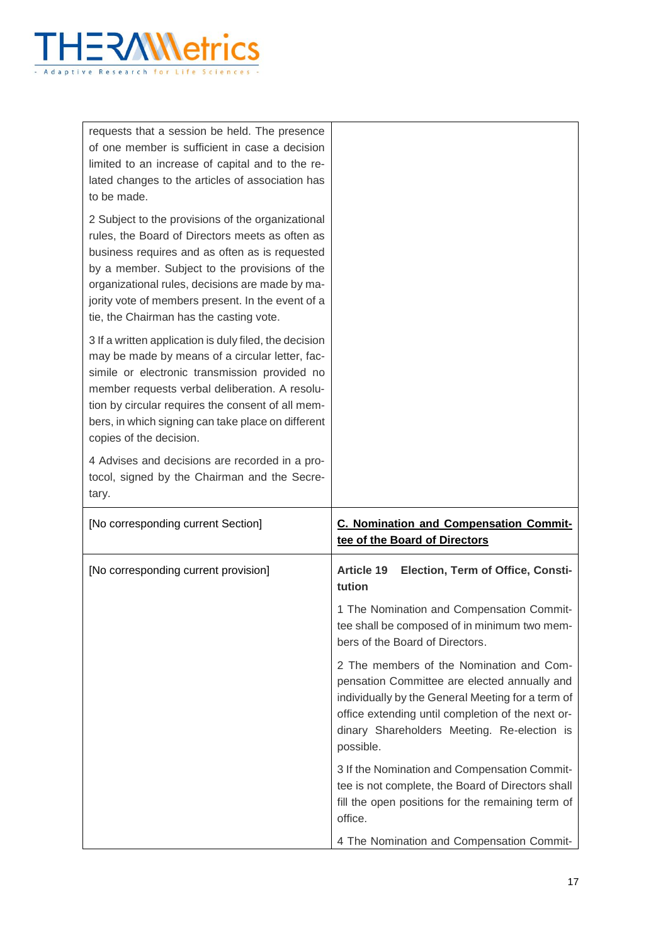

requests that a session be held. The presence of one member is sufficient in case a decision limited to an increase of capital and to the related changes to the articles of association has to be made. 2 Subject to the provisions of the organizational rules, the Board of Directors meets as often as business requires and as often as is requested by a member. Subject to the provisions of the organizational rules, decisions are made by majority vote of members present. In the event of a tie, the Chairman has the casting vote. 3 If a written application is duly filed, the decision may be made by means of a circular letter, facsimile or electronic transmission provided no member requests verbal deliberation. A resolution by circular requires the consent of all members, in which signing can take place on different copies of the decision. 4 Advises and decisions are recorded in a protocol, signed by the Chairman and the Secretary. [No corresponding current Section] **C. Nomination and Compensation Committee of the Board of Directors** [No corresponding current provision] **Article 19 Election, Term of Office, Constitution** 1 The Nomination and Compensation Committee shall be composed of in minimum two members of the Board of Directors. 2 The members of the Nomination and Compensation Committee are elected annually and individually by the General Meeting for a term of office extending until completion of the next ordinary Shareholders Meeting. Re-election is possible. 3 If the Nomination and Compensation Committee is not complete, the Board of Directors shall fill the open positions for the remaining term of office. 4 The Nomination and Compensation Commit-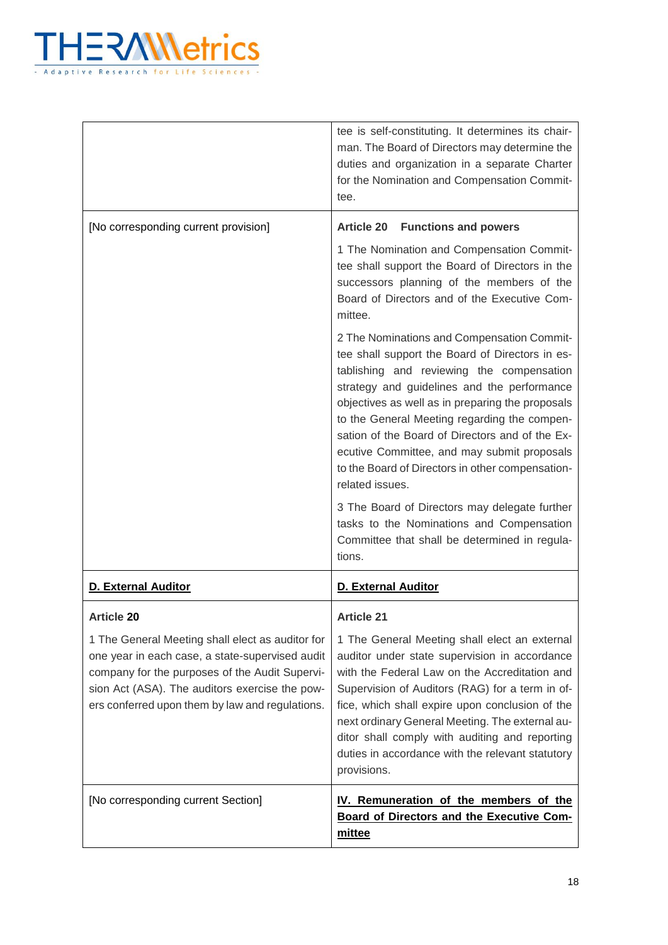

|                                                                                                                                                                                                                                                            | tee is self-constituting. It determines its chair-<br>man. The Board of Directors may determine the<br>duties and organization in a separate Charter<br>for the Nomination and Compensation Commit-<br>tee.                                                                                                                                                                                                                                                            |
|------------------------------------------------------------------------------------------------------------------------------------------------------------------------------------------------------------------------------------------------------------|------------------------------------------------------------------------------------------------------------------------------------------------------------------------------------------------------------------------------------------------------------------------------------------------------------------------------------------------------------------------------------------------------------------------------------------------------------------------|
| [No corresponding current provision]                                                                                                                                                                                                                       | <b>Article 20 Functions and powers</b>                                                                                                                                                                                                                                                                                                                                                                                                                                 |
|                                                                                                                                                                                                                                                            | 1 The Nomination and Compensation Commit-<br>tee shall support the Board of Directors in the<br>successors planning of the members of the<br>Board of Directors and of the Executive Com-<br>mittee.                                                                                                                                                                                                                                                                   |
|                                                                                                                                                                                                                                                            | 2 The Nominations and Compensation Commit-<br>tee shall support the Board of Directors in es-<br>tablishing and reviewing the compensation<br>strategy and guidelines and the performance<br>objectives as well as in preparing the proposals<br>to the General Meeting regarding the compen-<br>sation of the Board of Directors and of the Ex-<br>ecutive Committee, and may submit proposals<br>to the Board of Directors in other compensation-<br>related issues. |
|                                                                                                                                                                                                                                                            | 3 The Board of Directors may delegate further<br>tasks to the Nominations and Compensation<br>Committee that shall be determined in regula-<br>tions.                                                                                                                                                                                                                                                                                                                  |
| <b>D. External Auditor</b>                                                                                                                                                                                                                                 | <b>D. External Auditor</b>                                                                                                                                                                                                                                                                                                                                                                                                                                             |
| <b>Article 20</b>                                                                                                                                                                                                                                          | <b>Article 21</b>                                                                                                                                                                                                                                                                                                                                                                                                                                                      |
| 1 The General Meeting shall elect as auditor for<br>one year in each case, a state-supervised audit<br>company for the purposes of the Audit Supervi-<br>sion Act (ASA). The auditors exercise the pow-<br>ers conferred upon them by law and regulations. | 1 The General Meeting shall elect an external<br>auditor under state supervision in accordance<br>with the Federal Law on the Accreditation and<br>Supervision of Auditors (RAG) for a term in of-<br>fice, which shall expire upon conclusion of the<br>next ordinary General Meeting. The external au-<br>ditor shall comply with auditing and reporting<br>duties in accordance with the relevant statutory<br>provisions.                                          |
| [No corresponding current Section]                                                                                                                                                                                                                         | IV. Remuneration of the members of the<br><b>Board of Directors and the Executive Com-</b><br>mittee                                                                                                                                                                                                                                                                                                                                                                   |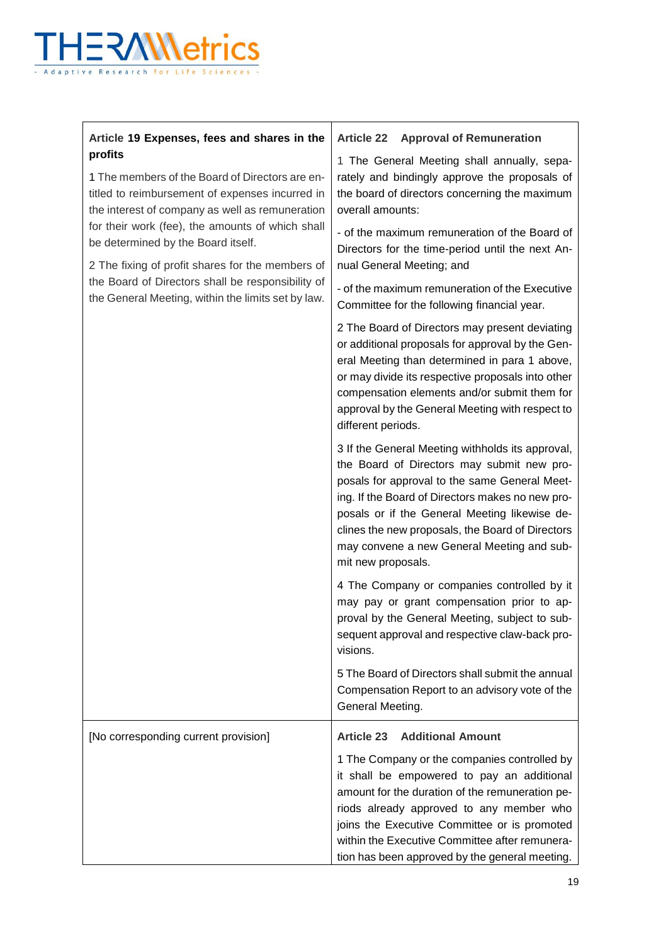

| Article 19 Expenses, fees and shares in the                                                                                                                                                                                                                                                                                                                                                                               | <b>Article 22</b><br><b>Approval of Remuneration</b>                                                                                                                                                                                                                                                                                                                                           |
|---------------------------------------------------------------------------------------------------------------------------------------------------------------------------------------------------------------------------------------------------------------------------------------------------------------------------------------------------------------------------------------------------------------------------|------------------------------------------------------------------------------------------------------------------------------------------------------------------------------------------------------------------------------------------------------------------------------------------------------------------------------------------------------------------------------------------------|
| profits<br>1 The members of the Board of Directors are en-<br>titled to reimbursement of expenses incurred in<br>the interest of company as well as remuneration<br>for their work (fee), the amounts of which shall<br>be determined by the Board itself.<br>2 The fixing of profit shares for the members of<br>the Board of Directors shall be responsibility of<br>the General Meeting, within the limits set by law. | 1 The General Meeting shall annually, sepa-<br>rately and bindingly approve the proposals of<br>the board of directors concerning the maximum<br>overall amounts:                                                                                                                                                                                                                              |
|                                                                                                                                                                                                                                                                                                                                                                                                                           | - of the maximum remuneration of the Board of<br>Directors for the time-period until the next An-<br>nual General Meeting; and                                                                                                                                                                                                                                                                 |
|                                                                                                                                                                                                                                                                                                                                                                                                                           | - of the maximum remuneration of the Executive<br>Committee for the following financial year.                                                                                                                                                                                                                                                                                                  |
|                                                                                                                                                                                                                                                                                                                                                                                                                           | 2 The Board of Directors may present deviating<br>or additional proposals for approval by the Gen-<br>eral Meeting than determined in para 1 above,<br>or may divide its respective proposals into other<br>compensation elements and/or submit them for<br>approval by the General Meeting with respect to<br>different periods.                                                              |
|                                                                                                                                                                                                                                                                                                                                                                                                                           | 3 If the General Meeting withholds its approval,<br>the Board of Directors may submit new pro-<br>posals for approval to the same General Meet-<br>ing. If the Board of Directors makes no new pro-<br>posals or if the General Meeting likewise de-<br>clines the new proposals, the Board of Directors<br>may convene a new General Meeting and sub-<br>mit new proposals.                   |
|                                                                                                                                                                                                                                                                                                                                                                                                                           | 4 The Company or companies controlled by it<br>may pay or grant compensation prior to ap-<br>proval by the General Meeting, subject to sub-<br>sequent approval and respective claw-back pro-<br>visions.                                                                                                                                                                                      |
|                                                                                                                                                                                                                                                                                                                                                                                                                           | 5 The Board of Directors shall submit the annual<br>Compensation Report to an advisory vote of the<br>General Meeting.                                                                                                                                                                                                                                                                         |
| [No corresponding current provision]                                                                                                                                                                                                                                                                                                                                                                                      | <b>Article 23</b><br><b>Additional Amount</b><br>1 The Company or the companies controlled by<br>it shall be empowered to pay an additional<br>amount for the duration of the remuneration pe-<br>riods already approved to any member who<br>joins the Executive Committee or is promoted<br>within the Executive Committee after remunera-<br>tion has been approved by the general meeting. |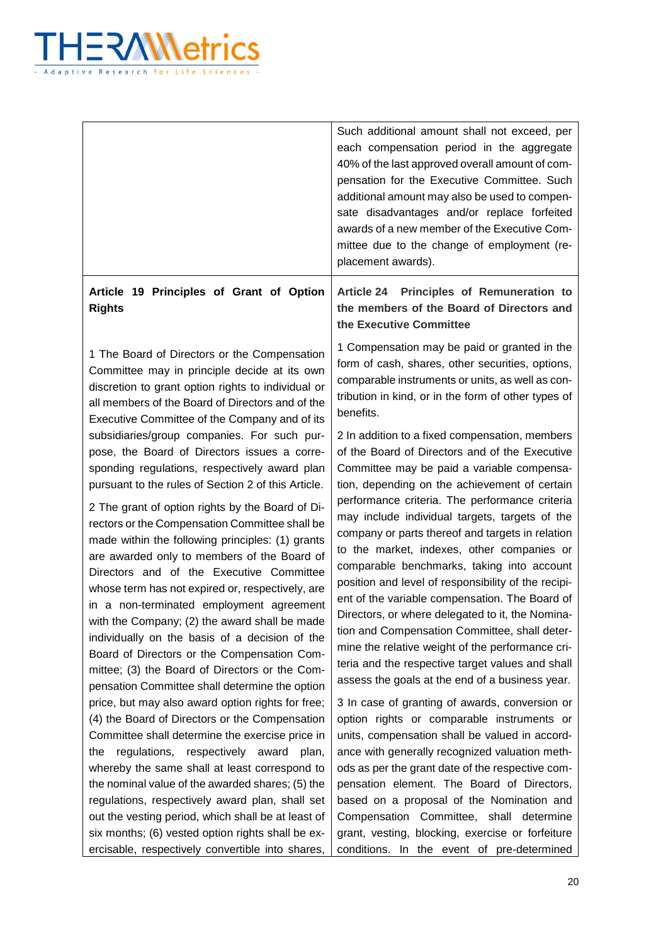

|                                                                                                                                                                                                                                                                                                                                                                                                                                                                                                                                                                                                         | Such additional amount shall not exceed, per<br>each compensation period in the aggregate<br>40% of the last approved overall amount of com-<br>pensation for the Executive Committee. Such<br>additional amount may also be used to compen-<br>sate disadvantages and/or replace forfeited<br>awards of a new member of the Executive Com-<br>mittee due to the change of employment (re-<br>placement awards).                                                                                                                                                                                                          |
|---------------------------------------------------------------------------------------------------------------------------------------------------------------------------------------------------------------------------------------------------------------------------------------------------------------------------------------------------------------------------------------------------------------------------------------------------------------------------------------------------------------------------------------------------------------------------------------------------------|---------------------------------------------------------------------------------------------------------------------------------------------------------------------------------------------------------------------------------------------------------------------------------------------------------------------------------------------------------------------------------------------------------------------------------------------------------------------------------------------------------------------------------------------------------------------------------------------------------------------------|
| Article 19 Principles of Grant of Option<br><b>Rights</b>                                                                                                                                                                                                                                                                                                                                                                                                                                                                                                                                               | Principles of Remuneration to<br><b>Article 24</b><br>the members of the Board of Directors and<br>the Executive Committee                                                                                                                                                                                                                                                                                                                                                                                                                                                                                                |
| 1 The Board of Directors or the Compensation<br>Committee may in principle decide at its own<br>discretion to grant option rights to individual or<br>all members of the Board of Directors and of the<br>Executive Committee of the Company and of its                                                                                                                                                                                                                                                                                                                                                 | 1 Compensation may be paid or granted in the<br>form of cash, shares, other securities, options,<br>comparable instruments or units, as well as con-<br>tribution in kind, or in the form of other types of<br>benefits.                                                                                                                                                                                                                                                                                                                                                                                                  |
| subsidiaries/group companies. For such pur-<br>pose, the Board of Directors issues a corre-<br>sponding regulations, respectively award plan<br>pursuant to the rules of Section 2 of this Article.                                                                                                                                                                                                                                                                                                                                                                                                     | 2 In addition to a fixed compensation, members<br>of the Board of Directors and of the Executive<br>Committee may be paid a variable compensa-<br>tion, depending on the achievement of certain                                                                                                                                                                                                                                                                                                                                                                                                                           |
| 2 The grant of option rights by the Board of Di-<br>rectors or the Compensation Committee shall be<br>made within the following principles: (1) grants<br>are awarded only to members of the Board of<br>Directors and of the Executive Committee<br>whose term has not expired or, respectively, are<br>in a non-terminated employment agreement<br>with the Company; (2) the award shall be made<br>individually on the basis of a decision of the<br>Board of Directors or the Compensation Com-<br>mittee; (3) the Board of Directors or the Com-<br>pensation Committee shall determine the option | performance criteria. The performance criteria<br>may include individual targets, targets of the<br>company or parts thereof and targets in relation<br>to the market, indexes, other companies or<br>comparable benchmarks, taking into account<br>position and level of responsibility of the recipi-<br>ent of the variable compensation. The Board of<br>Directors, or where delegated to it, the Nomina-<br>tion and Compensation Committee, shall deter-<br>mine the relative weight of the performance cri-<br>teria and the respective target values and shall<br>assess the goals at the end of a business year. |
| price, but may also award option rights for free;<br>(4) the Board of Directors or the Compensation                                                                                                                                                                                                                                                                                                                                                                                                                                                                                                     | 3 In case of granting of awards, conversion or<br>option rights or comparable instruments or                                                                                                                                                                                                                                                                                                                                                                                                                                                                                                                              |
| Committee shall determine the exercise price in                                                                                                                                                                                                                                                                                                                                                                                                                                                                                                                                                         | units, compensation shall be valued in accord-                                                                                                                                                                                                                                                                                                                                                                                                                                                                                                                                                                            |
| regulations, respectively award<br>plan,<br>the                                                                                                                                                                                                                                                                                                                                                                                                                                                                                                                                                         | ance with generally recognized valuation meth-                                                                                                                                                                                                                                                                                                                                                                                                                                                                                                                                                                            |
| whereby the same shall at least correspond to                                                                                                                                                                                                                                                                                                                                                                                                                                                                                                                                                           | ods as per the grant date of the respective com-                                                                                                                                                                                                                                                                                                                                                                                                                                                                                                                                                                          |
| the nominal value of the awarded shares; (5) the                                                                                                                                                                                                                                                                                                                                                                                                                                                                                                                                                        | pensation element. The Board of Directors,                                                                                                                                                                                                                                                                                                                                                                                                                                                                                                                                                                                |
| regulations, respectively award plan, shall set                                                                                                                                                                                                                                                                                                                                                                                                                                                                                                                                                         | based on a proposal of the Nomination and                                                                                                                                                                                                                                                                                                                                                                                                                                                                                                                                                                                 |
| out the vesting period, which shall be at least of                                                                                                                                                                                                                                                                                                                                                                                                                                                                                                                                                      | Compensation Committee, shall determine                                                                                                                                                                                                                                                                                                                                                                                                                                                                                                                                                                                   |
| six months; (6) vested option rights shall be ex-                                                                                                                                                                                                                                                                                                                                                                                                                                                                                                                                                       | grant, vesting, blocking, exercise or forfeiture                                                                                                                                                                                                                                                                                                                                                                                                                                                                                                                                                                          |
| ercisable, respectively convertible into shares,                                                                                                                                                                                                                                                                                                                                                                                                                                                                                                                                                        | conditions. In the event of pre-determined                                                                                                                                                                                                                                                                                                                                                                                                                                                                                                                                                                                |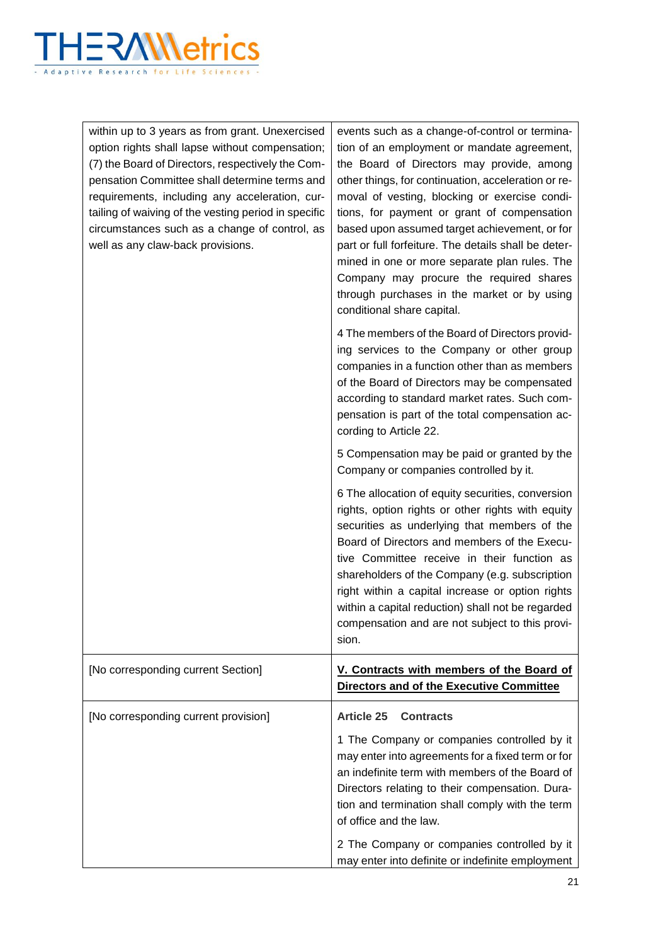

| within up to 3 years as from grant. Unexercised<br>option rights shall lapse without compensation;<br>(7) the Board of Directors, respectively the Com-<br>pensation Committee shall determine terms and<br>requirements, including any acceleration, cur-<br>tailing of waiving of the vesting period in specific<br>circumstances such as a change of control, as<br>well as any claw-back provisions. | events such as a change-of-control or termina-<br>tion of an employment or mandate agreement,<br>the Board of Directors may provide, among<br>other things, for continuation, acceleration or re-<br>moval of vesting, blocking or exercise condi-<br>tions, for payment or grant of compensation<br>based upon assumed target achievement, or for<br>part or full forfeiture. The details shall be deter-<br>mined in one or more separate plan rules. The<br>Company may procure the required shares<br>through purchases in the market or by using<br>conditional share capital. |
|----------------------------------------------------------------------------------------------------------------------------------------------------------------------------------------------------------------------------------------------------------------------------------------------------------------------------------------------------------------------------------------------------------|-------------------------------------------------------------------------------------------------------------------------------------------------------------------------------------------------------------------------------------------------------------------------------------------------------------------------------------------------------------------------------------------------------------------------------------------------------------------------------------------------------------------------------------------------------------------------------------|
|                                                                                                                                                                                                                                                                                                                                                                                                          | 4 The members of the Board of Directors provid-<br>ing services to the Company or other group<br>companies in a function other than as members<br>of the Board of Directors may be compensated<br>according to standard market rates. Such com-<br>pensation is part of the total compensation ac-<br>cording to Article 22.                                                                                                                                                                                                                                                        |
|                                                                                                                                                                                                                                                                                                                                                                                                          | 5 Compensation may be paid or granted by the<br>Company or companies controlled by it.                                                                                                                                                                                                                                                                                                                                                                                                                                                                                              |
|                                                                                                                                                                                                                                                                                                                                                                                                          | 6 The allocation of equity securities, conversion<br>rights, option rights or other rights with equity<br>securities as underlying that members of the<br>Board of Directors and members of the Execu-<br>tive Committee receive in their function as<br>shareholders of the Company (e.g. subscription<br>right within a capital increase or option rights<br>within a capital reduction) shall not be regarded<br>compensation and are not subject to this provi-<br>sion.                                                                                                        |
| [No corresponding current Section]                                                                                                                                                                                                                                                                                                                                                                       | V. Contracts with members of the Board of<br>Directors and of the Executive Committee                                                                                                                                                                                                                                                                                                                                                                                                                                                                                               |
| [No corresponding current provision]                                                                                                                                                                                                                                                                                                                                                                     | <b>Article 25</b><br><b>Contracts</b><br>1 The Company or companies controlled by it<br>may enter into agreements for a fixed term or for<br>an indefinite term with members of the Board of<br>Directors relating to their compensation. Dura-<br>tion and termination shall comply with the term<br>of office and the law.                                                                                                                                                                                                                                                        |
|                                                                                                                                                                                                                                                                                                                                                                                                          | 2 The Company or companies controlled by it<br>may enter into definite or indefinite employment                                                                                                                                                                                                                                                                                                                                                                                                                                                                                     |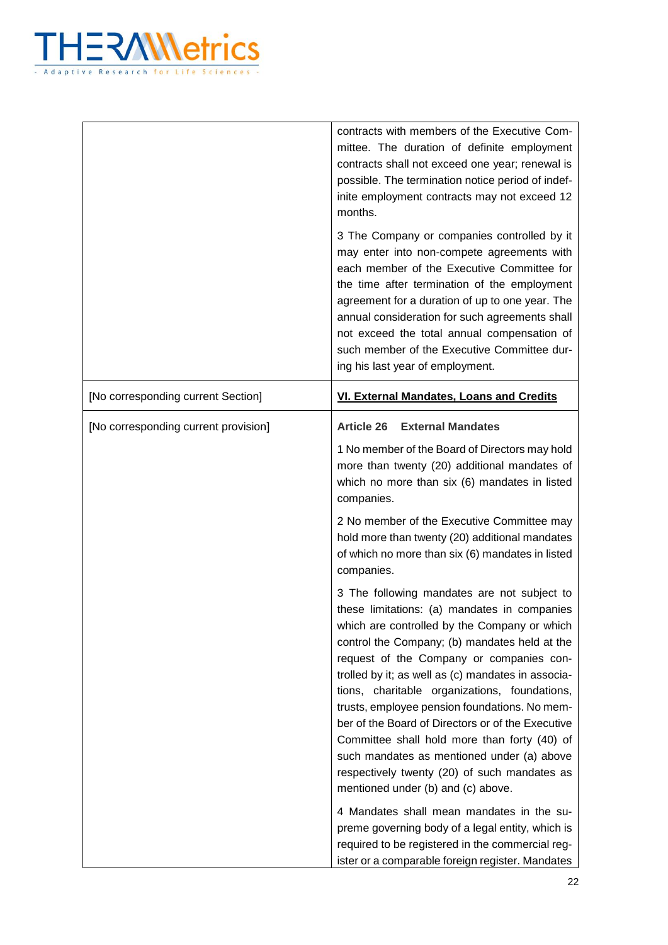

|                                      | contracts with members of the Executive Com-<br>mittee. The duration of definite employment<br>contracts shall not exceed one year; renewal is<br>possible. The termination notice period of indef-<br>inite employment contracts may not exceed 12<br>months.                                                                                                                                                                                                                                                                                                                                                                                                                                                                                                                                 |
|--------------------------------------|------------------------------------------------------------------------------------------------------------------------------------------------------------------------------------------------------------------------------------------------------------------------------------------------------------------------------------------------------------------------------------------------------------------------------------------------------------------------------------------------------------------------------------------------------------------------------------------------------------------------------------------------------------------------------------------------------------------------------------------------------------------------------------------------|
|                                      | 3 The Company or companies controlled by it<br>may enter into non-compete agreements with<br>each member of the Executive Committee for<br>the time after termination of the employment<br>agreement for a duration of up to one year. The<br>annual consideration for such agreements shall<br>not exceed the total annual compensation of<br>such member of the Executive Committee dur-<br>ing his last year of employment.                                                                                                                                                                                                                                                                                                                                                                 |
| [No corresponding current Section]   | VI. External Mandates, Loans and Credits                                                                                                                                                                                                                                                                                                                                                                                                                                                                                                                                                                                                                                                                                                                                                       |
| [No corresponding current provision] | <b>External Mandates</b><br><b>Article 26</b>                                                                                                                                                                                                                                                                                                                                                                                                                                                                                                                                                                                                                                                                                                                                                  |
|                                      | 1 No member of the Board of Directors may hold<br>more than twenty (20) additional mandates of<br>which no more than six (6) mandates in listed<br>companies.                                                                                                                                                                                                                                                                                                                                                                                                                                                                                                                                                                                                                                  |
|                                      | 2 No member of the Executive Committee may<br>hold more than twenty (20) additional mandates<br>of which no more than six (6) mandates in listed<br>companies.                                                                                                                                                                                                                                                                                                                                                                                                                                                                                                                                                                                                                                 |
|                                      | 3 The following mandates are not subject to<br>these limitations: (a) mandates in companies<br>which are controlled by the Company or which<br>control the Company; (b) mandates held at the<br>request of the Company or companies con-<br>trolled by it; as well as (c) mandates in associa-<br>tions, charitable organizations, foundations,<br>trusts, employee pension foundations. No mem-<br>ber of the Board of Directors or of the Executive<br>Committee shall hold more than forty (40) of<br>such mandates as mentioned under (a) above<br>respectively twenty (20) of such mandates as<br>mentioned under (b) and (c) above.<br>4 Mandates shall mean mandates in the su-<br>preme governing body of a legal entity, which is<br>required to be registered in the commercial reg- |
|                                      | ister or a comparable foreign register. Mandates                                                                                                                                                                                                                                                                                                                                                                                                                                                                                                                                                                                                                                                                                                                                               |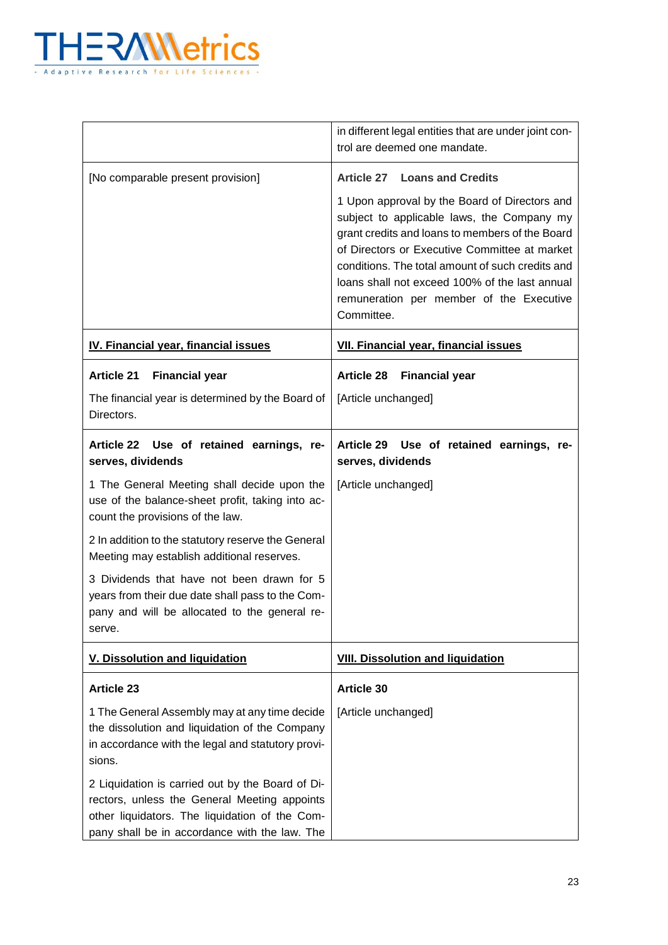

|                                                                                                                                                                                                     | in different legal entities that are under joint con-<br>trol are deemed one mandate.                                                                                                                                                                                                                          |
|-----------------------------------------------------------------------------------------------------------------------------------------------------------------------------------------------------|----------------------------------------------------------------------------------------------------------------------------------------------------------------------------------------------------------------------------------------------------------------------------------------------------------------|
| [No comparable present provision]                                                                                                                                                                   | <b>Article 27</b><br><b>Loans and Credits</b><br>1 Upon approval by the Board of Directors and                                                                                                                                                                                                                 |
|                                                                                                                                                                                                     | subject to applicable laws, the Company my<br>grant credits and loans to members of the Board<br>of Directors or Executive Committee at market<br>conditions. The total amount of such credits and<br>loans shall not exceed 100% of the last annual<br>remuneration per member of the Executive<br>Committee. |
| IV. Financial year, financial issues                                                                                                                                                                | <b>VII. Financial year, financial issues</b>                                                                                                                                                                                                                                                                   |
| <b>Article 21</b><br><b>Financial year</b>                                                                                                                                                          | <b>Article 28</b><br><b>Financial year</b>                                                                                                                                                                                                                                                                     |
| The financial year is determined by the Board of<br>Directors.                                                                                                                                      | [Article unchanged]                                                                                                                                                                                                                                                                                            |
| Article 22 Use of retained earnings, re-<br>serves, dividends                                                                                                                                       | <b>Article 29</b><br>Use of retained earnings, re-<br>serves, dividends                                                                                                                                                                                                                                        |
| 1 The General Meeting shall decide upon the<br>use of the balance-sheet profit, taking into ac-<br>count the provisions of the law.                                                                 | [Article unchanged]                                                                                                                                                                                                                                                                                            |
| 2 In addition to the statutory reserve the General<br>Meeting may establish additional reserves.                                                                                                    |                                                                                                                                                                                                                                                                                                                |
| 3 Dividends that have not been drawn for 5<br>years from their due date shall pass to the Com-<br>pany and will be allocated to the general re-<br>serve.                                           |                                                                                                                                                                                                                                                                                                                |
| <b>V. Dissolution and liquidation</b>                                                                                                                                                               | <b>VIII. Dissolution and liquidation</b>                                                                                                                                                                                                                                                                       |
| <b>Article 23</b>                                                                                                                                                                                   | <b>Article 30</b>                                                                                                                                                                                                                                                                                              |
| 1 The General Assembly may at any time decide<br>the dissolution and liquidation of the Company<br>in accordance with the legal and statutory provi-<br>sions.                                      | [Article unchanged]                                                                                                                                                                                                                                                                                            |
| 2 Liquidation is carried out by the Board of Di-<br>rectors, unless the General Meeting appoints<br>other liquidators. The liquidation of the Com-<br>pany shall be in accordance with the law. The |                                                                                                                                                                                                                                                                                                                |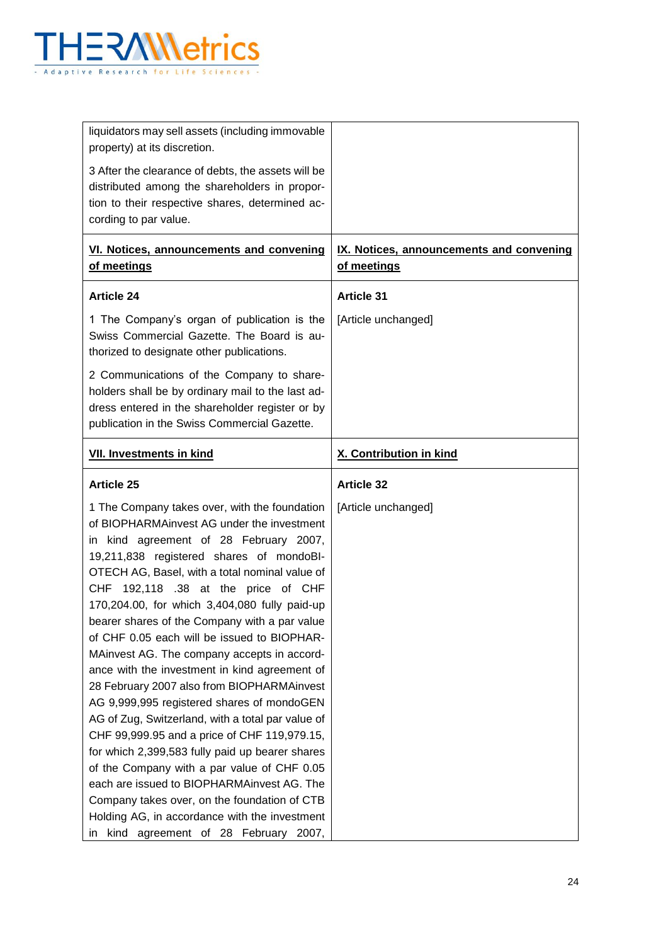

| liquidators may sell assets (including immovable<br>property) at its discretion.<br>3 After the clearance of debts, the assets will be<br>distributed among the shareholders in propor-<br>tion to their respective shares, determined ac-<br>cording to par value.                                                                                                                                                                                                                                                                                                                                                                                                                                                                                                                                                                                                                                                                                                                                                                   |                                                         |
|---------------------------------------------------------------------------------------------------------------------------------------------------------------------------------------------------------------------------------------------------------------------------------------------------------------------------------------------------------------------------------------------------------------------------------------------------------------------------------------------------------------------------------------------------------------------------------------------------------------------------------------------------------------------------------------------------------------------------------------------------------------------------------------------------------------------------------------------------------------------------------------------------------------------------------------------------------------------------------------------------------------------------------------|---------------------------------------------------------|
| VI. Notices, announcements and convening<br>of meetings                                                                                                                                                                                                                                                                                                                                                                                                                                                                                                                                                                                                                                                                                                                                                                                                                                                                                                                                                                               | IX. Notices, announcements and convening<br>of meetings |
| <b>Article 24</b><br>1 The Company's organ of publication is the<br>Swiss Commercial Gazette. The Board is au-<br>thorized to designate other publications.<br>2 Communications of the Company to share-<br>holders shall be by ordinary mail to the last ad-<br>dress entered in the shareholder register or by<br>publication in the Swiss Commercial Gazette.                                                                                                                                                                                                                                                                                                                                                                                                                                                                                                                                                                                                                                                                      | <b>Article 31</b><br>[Article unchanged]                |
| <b>VII. Investments in kind</b>                                                                                                                                                                                                                                                                                                                                                                                                                                                                                                                                                                                                                                                                                                                                                                                                                                                                                                                                                                                                       | X. Contribution in kind                                 |
| <b>Article 25</b>                                                                                                                                                                                                                                                                                                                                                                                                                                                                                                                                                                                                                                                                                                                                                                                                                                                                                                                                                                                                                     | <b>Article 32</b>                                       |
| 1 The Company takes over, with the foundation<br>of BIOPHARMAinvest AG under the investment<br>in kind agreement of 28 February 2007,<br>19,211,838 registered shares of mondoBI-<br>OTECH AG, Basel, with a total nominal value of<br>CHF 192,118 .38 at the price of CHF<br>170,204.00, for which 3,404,080 fully paid-up<br>bearer shares of the Company with a par value<br>of CHF 0.05 each will be issued to BIOPHAR-<br>MAinvest AG. The company accepts in accord-<br>ance with the investment in kind agreement of<br>28 February 2007 also from BIOPHARMAinvest<br>AG 9,999,995 registered shares of mondoGEN<br>AG of Zug, Switzerland, with a total par value of<br>CHF 99,999.95 and a price of CHF 119,979.15,<br>for which 2,399,583 fully paid up bearer shares<br>of the Company with a par value of CHF 0.05<br>each are issued to BIOPHARMAinvest AG. The<br>Company takes over, on the foundation of CTB<br>Holding AG, in accordance with the investment<br>kind agreement of 28 February 2007,<br>$\mathsf{In}$ | [Article unchanged]                                     |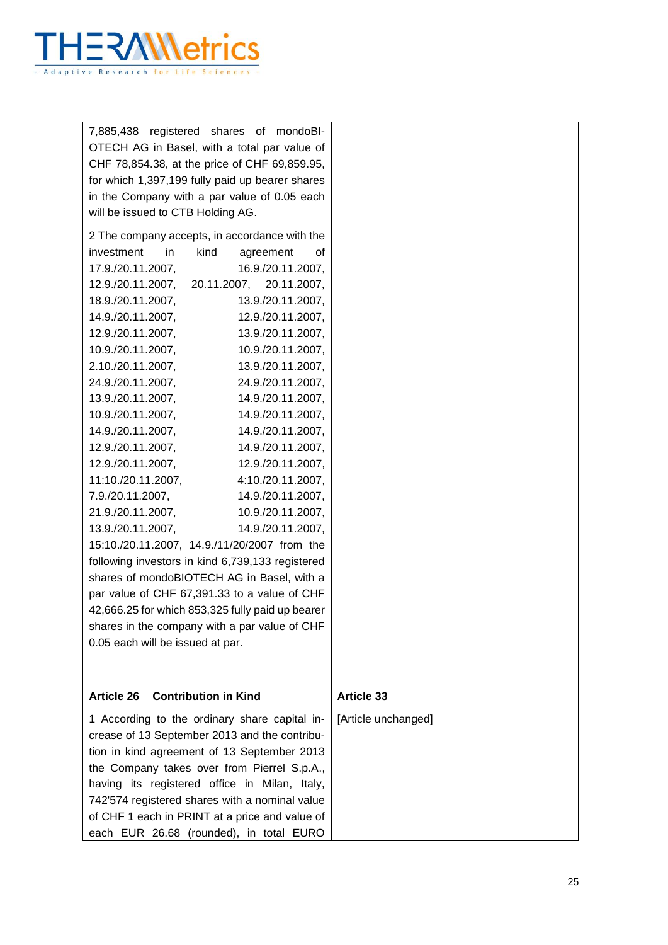

| 7,885,438 registered shares of mondoBI-          |                     |
|--------------------------------------------------|---------------------|
| OTECH AG in Basel, with a total par value of     |                     |
| CHF 78,854.38, at the price of CHF 69,859.95,    |                     |
| for which 1,397,199 fully paid up bearer shares  |                     |
| in the Company with a par value of 0.05 each     |                     |
| will be issued to CTB Holding AG.                |                     |
| 2 The company accepts, in accordance with the    |                     |
| kind<br>investment<br>in.<br>agreement<br>οf     |                     |
| 17.9./20.11.2007,<br>16.9./20.11.2007,           |                     |
| 12.9./20.11.2007, 20.11.2007, 20.11.2007,        |                     |
| 18.9./20.11.2007,<br>13.9./20.11.2007,           |                     |
| 14.9./20.11.2007,<br>12.9./20.11.2007,           |                     |
| 12.9./20.11.2007,<br>13.9./20.11.2007,           |                     |
| 10.9./20.11.2007,<br>10.9./20.11.2007,           |                     |
| 2.10./20.11.2007,<br>13.9./20.11.2007,           |                     |
| 24.9./20.11.2007,<br>24.9./20.11.2007,           |                     |
| 13.9./20.11.2007,<br>14.9./20.11.2007,           |                     |
| 10.9./20.11.2007,<br>14.9./20.11.2007,           |                     |
| 14.9./20.11.2007,<br>14.9./20.11.2007,           |                     |
| 12.9./20.11.2007,<br>14.9./20.11.2007,           |                     |
| 12.9./20.11.2007,<br>12.9./20.11.2007,           |                     |
| 11:10./20.11.2007,<br>4:10./20.11.2007,          |                     |
| 7.9./20.11.2007,<br>14.9./20.11.2007,            |                     |
| 21.9./20.11.2007,<br>10.9./20.11.2007,           |                     |
| 13.9./20.11.2007,<br>14.9./20.11.2007,           |                     |
| 15:10./20.11.2007, 14.9./11/20/2007 from the     |                     |
| following investors in kind 6,739,133 registered |                     |
| shares of mondoBIOTECH AG in Basel, with a       |                     |
| par value of CHF 67,391.33 to a value of CHF     |                     |
| 42,666.25 for which 853,325 fully paid up bearer |                     |
| shares in the company with a par value of CHF    |                     |
| 0.05 each will be issued at par.                 |                     |
|                                                  |                     |
|                                                  |                     |
| <b>Contribution in Kind</b><br><b>Article 26</b> | <b>Article 33</b>   |
| 1 According to the ordinary share capital in-    | [Article unchanged] |
| crease of 13 September 2013 and the contribu-    |                     |
| tion in kind agreement of 13 September 2013      |                     |
| the Company takes over from Pierrel S.p.A.,      |                     |
| having its registered office in Milan, Italy,    |                     |
| 742'574 registered shares with a nominal value   |                     |
| of CHF 1 each in PRINT at a price and value of   |                     |
| each EUR 26.68 (rounded), in total EURO          |                     |